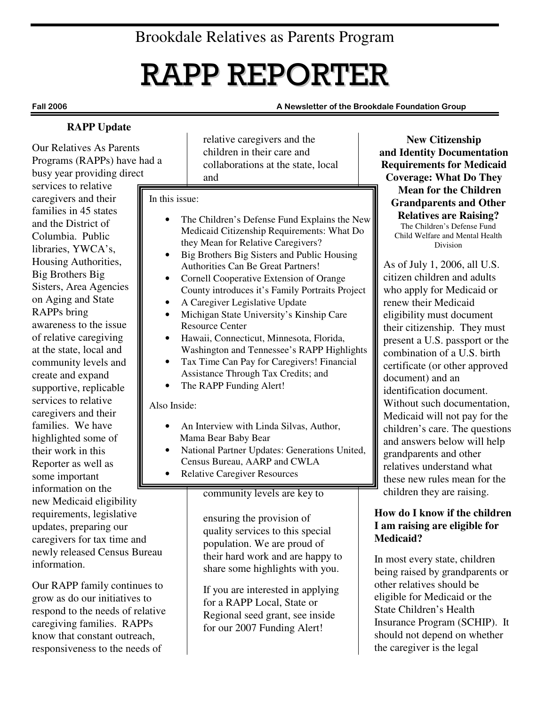## Brookdale Relatives as Parents Program

# RAPP REPORTER

#### Fall 2006 A Newsletter of the Brookdale Foundation Group

#### **RAPP Update**

Our Relatives As Parents Programs (RAPPs) have had a busy year providing direct

services to relative caregivers and their families in 45 states and the District of Columbia. Public libraries, YWCA's, Housing Authorities, Big Brothers Big Sisters, Area Agencies on Aging and State RAPPs bring awareness to the issue of relative caregiving at the state, local and community levels and create and expand supportive, replicable services to relative caregivers and their families. We have highlighted some of their work in this Reporter as well as some important information on the new Medicaid eligibility requirements, legislative updates, preparing our caregivers for tax time and newly released Census Bureau information.

Our RAPP family continues to grow as do our initiatives to respond to the needs of relative caregiving families. RAPPs know that constant outreach, responsiveness to the needs of

relative caregivers and the children in their care and collaborations at the state, local and

#### In this issue:

- The Children's Defense Fund Explains the New Medicaid Citizenship Requirements: What Do they Mean for Relative Caregivers?
- Big Brothers Big Sisters and Public Housing Authorities Can Be Great Partners!
- Cornell Cooperative Extension of Orange County introduces it's Family Portraits Project
- A Caregiver Legislative Update
- Michigan State University's Kinship Care Resource Center
- Hawaii, Connecticut, Minnesota, Florida, Washington and Tennessee's RAPP Highlights
- Tax Time Can Pay for Caregivers! Financial Assistance Through Tax Credits; and
- The RAPP Funding Alert!

#### Also Inside:

- An Interview with Linda Silvas, Author, Mama Bear Baby Bear
- National Partner Updates: Generations United, Census Bureau, AARP and CWLA
- Relative Caregiver Resources

#### community levels are key to

ensuring the provision of quality services to this special population. We are proud of their hard work and are happy to share some highlights with you.

If you are interested in applying for a RAPP Local, State or Regional seed grant, see inside for our 2007 Funding Alert!

**New Citizenship and Identity Documentation Requirements for Medicaid Coverage: What Do They Mean for the Children Grandparents and Other Relatives are Raising?**  The Children's Defense Fund Child Welfare and Mental Health Division

As of July 1, 2006, all U.S. citizen children and adults who apply for Medicaid or renew their Medicaid eligibility must document their citizenship. They must present a U.S. passport or the combination of a U.S. birth certificate (or other approved document) and an identification document. Without such documentation, Medicaid will not pay for the children's care. The questions and answers below will help grandparents and other relatives understand what these new rules mean for the children they are raising.

#### **How do I know if the children I am raising are eligible for Medicaid?**

In most every state, children being raised by grandparents or other relatives should be eligible for Medicaid or the State Children's Health Insurance Program (SCHIP). It should not depend on whether the caregiver is the legal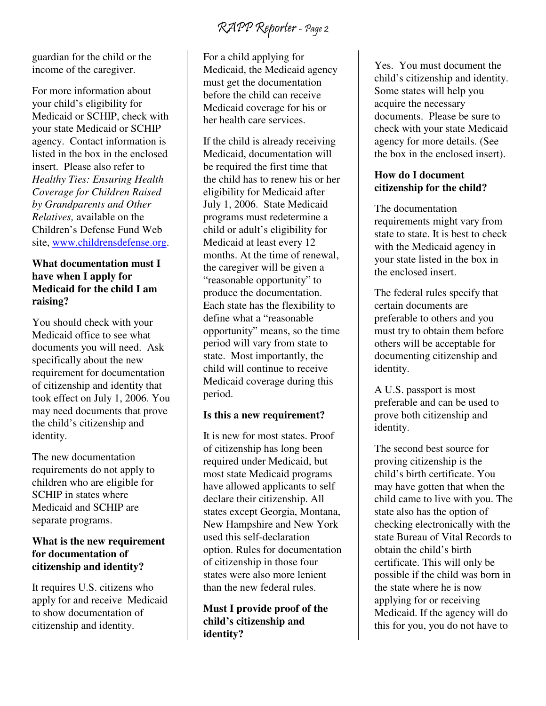guardian for the child or the income of the caregiver.

For more information about your child's eligibility for Medicaid or SCHIP, check with your state Medicaid or SCHIP agency. Contact information is listed in the box in the enclosed insert. Please also refer to *Healthy Ties: Ensuring Health Coverage for Children Raised by Grandparents and Other Relatives,* available on the Children's Defense Fund Web site, www.childrensdefense.org.

#### **What documentation must I have when I apply for Medicaid for the child I am raising?**

You should check with your Medicaid office to see what documents you will need. Ask specifically about the new requirement for documentation of citizenship and identity that took effect on July 1, 2006. You may need documents that prove the child's citizenship and identity.

The new documentation requirements do not apply to children who are eligible for SCHIP in states where Medicaid and SCHIP are separate programs.

#### **What is the new requirement for documentation of citizenship and identity?**

It requires U.S. citizens who apply for and receive Medicaid to show documentation of citizenship and identity.

For a child applying for Medicaid, the Medicaid agency must get the documentation before the child can receive Medicaid coverage for his or her health care services.

If the child is already receiving Medicaid, documentation will be required the first time that the child has to renew his or her eligibility for Medicaid after July 1, 2006. State Medicaid programs must redetermine a child or adult's eligibility for Medicaid at least every 12 months. At the time of renewal, the caregiver will be given a "reasonable opportunity" to produce the documentation. Each state has the flexibility to define what a "reasonable opportunity" means, so the time period will vary from state to state. Most importantly, the child will continue to receive Medicaid coverage during this period.

#### **Is this a new requirement?**

It is new for most states. Proof of citizenship has long been required under Medicaid, but most state Medicaid programs have allowed applicants to self declare their citizenship. All states except Georgia, Montana, New Hampshire and New York used this self-declaration option. Rules for documentation of citizenship in those four states were also more lenient than the new federal rules.

#### **Must I provide proof of the child's citizenship and identity?**

Yes. You must document the child's citizenship and identity. Some states will help you acquire the necessary documents. Please be sure to check with your state Medicaid agency for more details. (See the box in the enclosed insert).

#### **How do I document citizenship for the child?**

The documentation requirements might vary from state to state. It is best to check with the Medicaid agency in your state listed in the box in the enclosed insert.

The federal rules specify that certain documents are preferable to others and you must try to obtain them before others will be acceptable for documenting citizenship and identity.

A U.S. passport is most preferable and can be used to prove both citizenship and identity.

The second best source for proving citizenship is the child's birth certificate. You may have gotten that when the child came to live with you. The state also has the option of checking electronically with the state Bureau of Vital Records to obtain the child's birth certificate. This will only be possible if the child was born in the state where he is now applying for or receiving Medicaid. If the agency will do this for you, you do not have to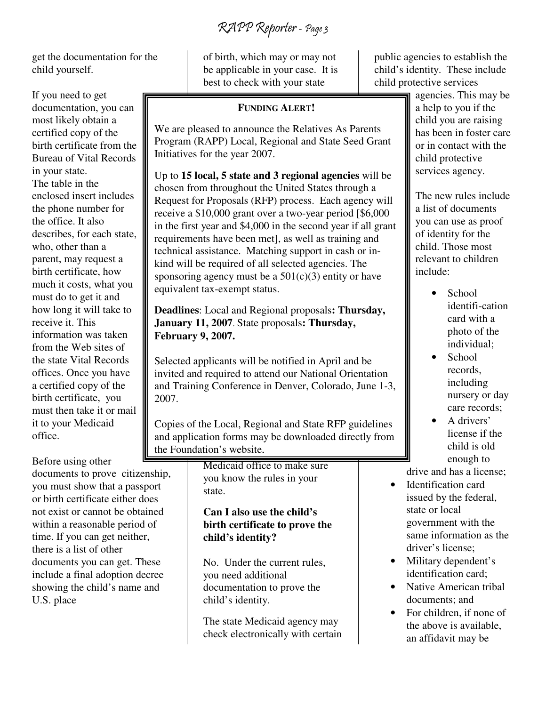RAPP Reporter - Page 3

get the documentation for the child yourself.

If you need to get documentation, you can most likely obtain a certified copy of the birth certificate from the Bureau of Vital Records in your state. The table in the enclosed insert includes the phone number for the office. It also describes, for each state, who, other than a parent, may request a birth certificate, how much it costs, what you must do to get it and how long it will take to receive it. This information was taken from the Web sites of the state Vital Records offices. Once you have a certified copy of the birth certificate, you must then take it or mail it to your Medicaid office.

Before using other documents to prove citizenship, you must show that a passport or birth certificate either does not exist or cannot be obtained within a reasonable period of time. If you can get neither, there is a list of other documents you can get. These include a final adoption decree showing the child's name and U.S. place

of birth, which may or may not be applicable in your case. It is best to check with your state

#### **FUNDING ALERT!**

We are pleased to announce the Relatives As Parents Program (RAPP) Local, Regional and State Seed Grant Initiatives for the year 2007.

Up to **15 local, 5 state and 3 regional agencies** will be chosen from throughout the United States through a Request for Proposals (RFP) process. Each agency will receive a \$10,000 grant over a two-year period [\$6,000 in the first year and \$4,000 in the second year if all grant requirements have been met], as well as training and technical assistance. Matching support in cash or inkind will be required of all selected agencies. The sponsoring agency must be a  $501(c)(3)$  entity or have equivalent tax-exempt status.

**Deadlines**: Local and Regional proposals**: Thursday, January 11, 2007**. State proposals**: Thursday, February 9, 2007.** 

Selected applicants will be notified in April and be invited and required to attend our National Orientation and Training Conference in Denver, Colorado, June 1-3, 2007.

Copies of the Local, Regional and State RFP guidelines and application forms may be downloaded directly from the Foundation's website,

> Medicaid office to make sure you know the rules in your state.

#### **Can I also use the child's birth certificate to prove the child's identity?**

No. Under the current rules, you need additional documentation to prove the child's identity.

The state Medicaid agency may check electronically with certain public agencies to establish the child's identity. These include child protective services

agencies. This may be a help to you if the child you are raising has been in foster care or in contact with the child protective services agency.

The new rules include a list of documents you can use as proof of identity for the child. Those most relevant to children include:

- School identifi-cation card with a photo of the individual;
- School records, including nursery or day care records;
- A drivers' license if the child is old enough to

drive and has a license;

- Identification card issued by the federal, state or local government with the same information as the driver's license;
- Military dependent's identification card;
- Native American tribal documents; and
- For children, if none of the above is available, an affidavit may be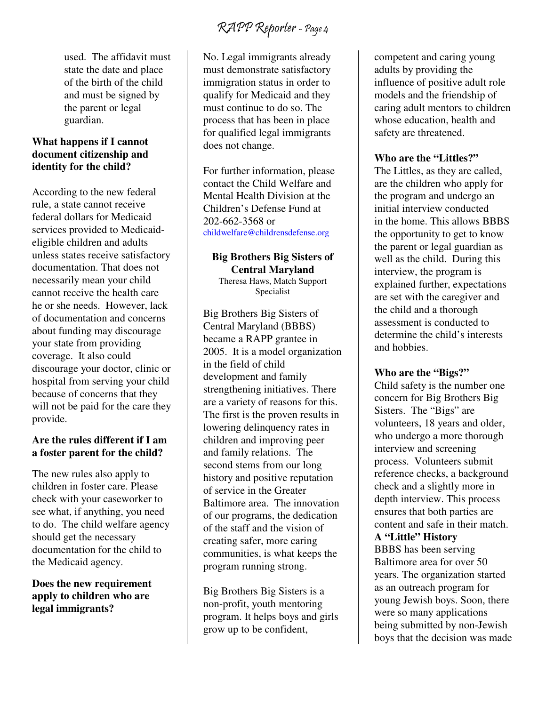used. The affidavit must state the date and place of the birth of the child and must be signed by the parent or legal guardian.

#### **What happens if I cannot document citizenship and identity for the child?**

According to the new federal rule, a state cannot receive federal dollars for Medicaid services provided to Medicaideligible children and adults unless states receive satisfactory documentation. That does not necessarily mean your child cannot receive the health care he or she needs. However, lack of documentation and concerns about funding may discourage your state from providing coverage. It also could discourage your doctor, clinic or hospital from serving your child because of concerns that they will not be paid for the care they provide.

#### **Are the rules different if I am a foster parent for the child?**

The new rules also apply to children in foster care. Please check with your caseworker to see what, if anything, you need to do. The child welfare agency should get the necessary documentation for the child to the Medicaid agency.

#### **Does the new requirement apply to children who are legal immigrants?**

No. Legal immigrants already must demonstrate satisfactory immigration status in order to qualify for Medicaid and they must continue to do so. The process that has been in place for qualified legal immigrants does not change.

For further information, please contact the Child Welfare and Mental Health Division at the Children's Defense Fund at 202-662-3568 or childwelfare@childrensdefense.org

### **Big Brothers Big Sisters of Central Maryland**

Theresa Haws, Match Support Specialist

Big Brothers Big Sisters of Central Maryland (BBBS) became a RAPP grantee in 2005. It is a model organization in the field of child development and family strengthening initiatives. There are a variety of reasons for this. The first is the proven results in lowering delinquency rates in children and improving peer and family relations. The second stems from our long history and positive reputation of service in the Greater Baltimore area. The innovation of our programs, the dedication of the staff and the vision of creating safer, more caring communities, is what keeps the program running strong.

Big Brothers Big Sisters is a non-profit, youth mentoring program. It helps boys and girls grow up to be confident,

competent and caring young adults by providing the influence of positive adult role models and the friendship of caring adult mentors to children whose education, health and safety are threatened.

#### **Who are the "Littles?"**

The Littles, as they are called, are the children who apply for the program and undergo an initial interview conducted in the home. This allows BBBS the opportunity to get to know the parent or legal guardian as well as the child. During this interview, the program is explained further, expectations are set with the caregiver and the child and a thorough assessment is conducted to determine the child's interests and hobbies.

#### **Who are the "Bigs?"**

Child safety is the number one concern for Big Brothers Big Sisters. The "Bigs" are volunteers, 18 years and older, who undergo a more thorough interview and screening process. Volunteers submit reference checks, a background check and a slightly more in depth interview. This process ensures that both parties are content and safe in their match.

#### **A "Little" History**

BBBS has been serving Baltimore area for over 50 years. The organization started as an outreach program for young Jewish boys. Soon, there were so many applications being submitted by non-Jewish boys that the decision was made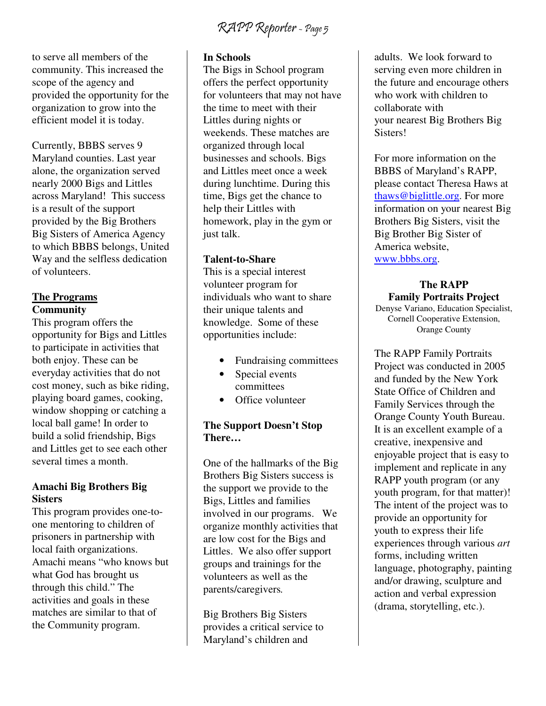to serve all members of the community. This increased the scope of the agency and provided the opportunity for the organization to grow into the efficient model it is today.

Currently, BBBS serves 9 Maryland counties. Last year alone, the organization served nearly 2000 Bigs and Littles across Maryland! This success is a result of the support provided by the Big Brothers Big Sisters of America Agency to which BBBS belongs, United Way and the selfless dedication of volunteers.

#### **The Programs Community**

This program offers the opportunity for Bigs and Littles to participate in activities that both enjoy. These can be everyday activities that do not cost money, such as bike riding, playing board games, cooking, window shopping or catching a local ball game! In order to build a solid friendship, Bigs and Littles get to see each other several times a month.

#### **Amachi Big Brothers Big Sisters**

This program provides one-toone mentoring to children of prisoners in partnership with local faith organizations. Amachi means "who knows but what God has brought us through this child." The activities and goals in these matches are similar to that of the Community program.

#### **In Schools**

The Bigs in School program offers the perfect opportunity for volunteers that may not have the time to meet with their Littles during nights or weekends. These matches are organized through local businesses and schools. Bigs and Littles meet once a week during lunchtime. During this time, Bigs get the chance to help their Littles with homework, play in the gym or just talk.

#### **Talent-to-Share**

This is a special interest volunteer program for individuals who want to share their unique talents and knowledge. Some of these opportunities include:

- Fundraising committees
- Special events committees
- Office volunteer

#### **The Support Doesn't Stop There…**

One of the hallmarks of the Big Brothers Big Sisters success is the support we provide to the Bigs, Littles and families involved in our programs. We organize monthly activities that are low cost for the Bigs and Littles. We also offer support groups and trainings for the volunteers as well as the parents/caregivers*.*

Big Brothers Big Sisters provides a critical service to Maryland's children and

adults. We look forward to serving even more children in the future and encourage others who work with children to collaborate with your nearest Big Brothers Big Sisters!

For more information on the BBBS of Maryland's RAPP, please contact Theresa Haws at thaws@biglittle.org. For more information on your nearest Big Brothers Big Sisters, visit the Big Brother Big Sister of America website, www.bbbs.org.

#### **The RAPP Family Portraits Project**

Denyse Variano, Education Specialist, Cornell Cooperative Extension, Orange County

The RAPP Family Portraits Project was conducted in 2005 and funded by the New York State Office of Children and Family Services through the Orange County Youth Bureau. It is an excellent example of a creative, inexpensive and enjoyable project that is easy to implement and replicate in any RAPP youth program (or any youth program, for that matter)! The intent of the project was to provide an opportunity for youth to express their life experiences through various *art* forms, including written language, photography, painting and/or drawing, sculpture and action and verbal expression (drama, storytelling, etc.).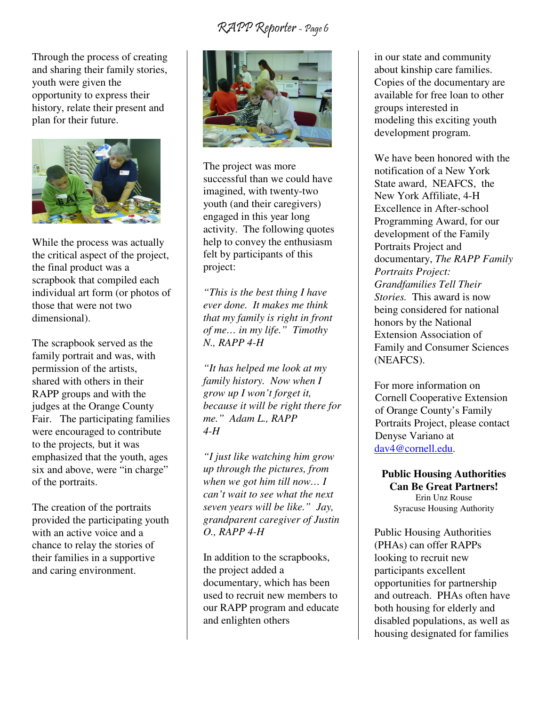Through the process of creating and sharing their family stories, youth were given the opportunity to express their history, relate their present and plan for their future.



While the process was actually the critical aspect of the project, the final product was a scrapbook that compiled each individual art form (or photos of those that were not two dimensional).

The scrapbook served as the family portrait and was, with permission of the artists, shared with others in their RAPP groups and with the judges at the Orange County Fair. The participating families were encouraged to contribute to the projects*,* but it was emphasized that the youth, ages six and above, were "in charge" of the portraits.

The creation of the portraits provided the participating youth with an active voice and a chance to relay the stories of their families in a supportive and caring environment.



The project was more successful than we could have imagined, with twenty-two youth (and their caregivers) engaged in this year long activity. The following quotes help to convey the enthusiasm felt by participants of this project:

*"This is the best thing I have ever done. It makes me think that my family is right in front of me… in my life." Timothy N., RAPP 4-H* 

*"It has helped me look at my family history. Now when I grow up I won't forget it, because it will be right there for me." Adam L., RAPP 4-H* 

*"I just like watching him grow up through the pictures, from when we got him till now… I can't wait to see what the next seven years will be like." Jay, grandparent caregiver of Justin O., RAPP 4-H*

In addition to the scrapbooks, the project added a documentary, which has been used to recruit new members to our RAPP program and educate and enlighten others

in our state and community about kinship care families. Copies of the documentary are available for free loan to other groups interested in modeling this exciting youth development program.

We have been honored with the notification of a New York State award, NEAFCS, the New York Affiliate, 4-H Excellence in After-school Programming Award, for our development of the Family Portraits Project and documentary, *The RAPP Family Portraits Project: Grandfamilies Tell Their Stories.* This award is now being considered for national honors by the National Extension Association of Family and Consumer Sciences (NEAFCS).

For more information on Cornell Cooperative Extension of Orange County's Family Portraits Project, please contact Denyse Variano at dav4@cornell.edu.

**Public Housing Authorities Can Be Great Partners!**  Erin Unz Rouse Syracuse Housing Authority

Public Housing Authorities (PHAs) can offer RAPPs looking to recruit new participants excellent opportunities for partnership and outreach. PHAs often have both housing for elderly and disabled populations, as well as housing designated for families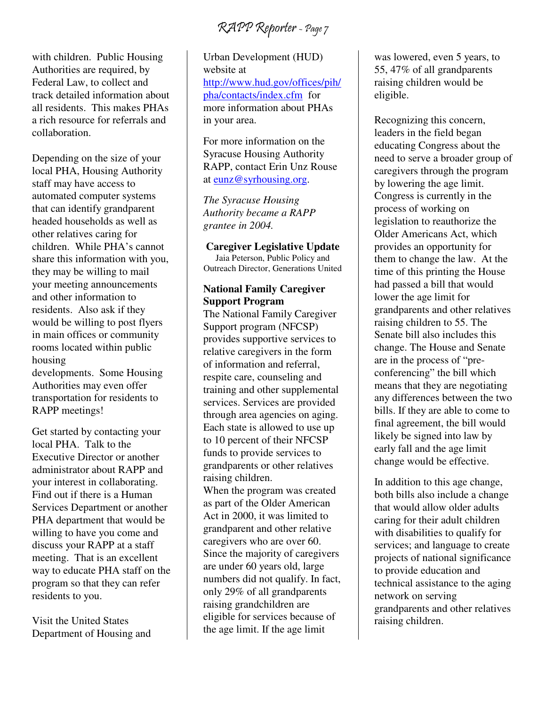with children. Public Housing Authorities are required, by Federal Law, to collect and track detailed information about all residents. This makes PHAs a rich resource for referrals and collaboration.

Depending on the size of your local PHA, Housing Authority staff may have access to automated computer systems that can identify grandparent headed households as well as other relatives caring for children. While PHA's cannot share this information with you, they may be willing to mail your meeting announcements and other information to residents. Also ask if they would be willing to post flyers in main offices or community rooms located within public housing developments. Some Housing

Authorities may even offer transportation for residents to RAPP meetings!

Get started by contacting your local PHA. Talk to the Executive Director or another administrator about RAPP and your interest in collaborating. Find out if there is a Human Services Department or another PHA department that would be willing to have you come and discuss your RAPP at a staff meeting. That is an excellent way to educate PHA staff on the program so that they can refer residents to you.

Visit the United States Department of Housing and

Urban Development (HUD) website at http://www.hud.gov/offices/pih/ pha/contacts/index.cfm for more information about PHAs in your area.

For more information on the Syracuse Housing Authority RAPP, contact Erin Unz Rouse at eunz@syrhousing.org.

*The Syracuse Housing Authority became a RAPP grantee in 2004.* 

#### **Caregiver Legislative Update**

Jaia Peterson, Public Policy and Outreach Director, Generations United **National Family Caregiver** 

### **Support Program**

The National Family Caregiver Support program (NFCSP) provides supportive services to relative caregivers in the form of information and referral, respite care, counseling and training and other supplemental services. Services are provided through area agencies on aging. Each state is allowed to use up to 10 percent of their NFCSP funds to provide services to grandparents or other relatives raising children.

When the program was created as part of the Older American Act in 2000, it was limited to grandparent and other relative caregivers who are over 60. Since the majority of caregivers are under 60 years old, large numbers did not qualify. In fact, only 29% of all grandparents raising grandchildren are eligible for services because of the age limit. If the age limit

was lowered, even 5 years, to 55, 47% of all grandparents raising children would be eligible.

Recognizing this concern, leaders in the field began educating Congress about the need to serve a broader group of caregivers through the program by lowering the age limit. Congress is currently in the process of working on legislation to reauthorize the Older Americans Act, which provides an opportunity for them to change the law. At the time of this printing the House had passed a bill that would lower the age limit for grandparents and other relatives raising children to 55. The Senate bill also includes this change. The House and Senate are in the process of "preconferencing" the bill which means that they are negotiating any differences between the two bills. If they are able to come to final agreement, the bill would likely be signed into law by early fall and the age limit change would be effective.

In addition to this age change, both bills also include a change that would allow older adults caring for their adult children with disabilities to qualify for services; and language to create projects of national significance to provide education and technical assistance to the aging network on serving grandparents and other relatives raising children.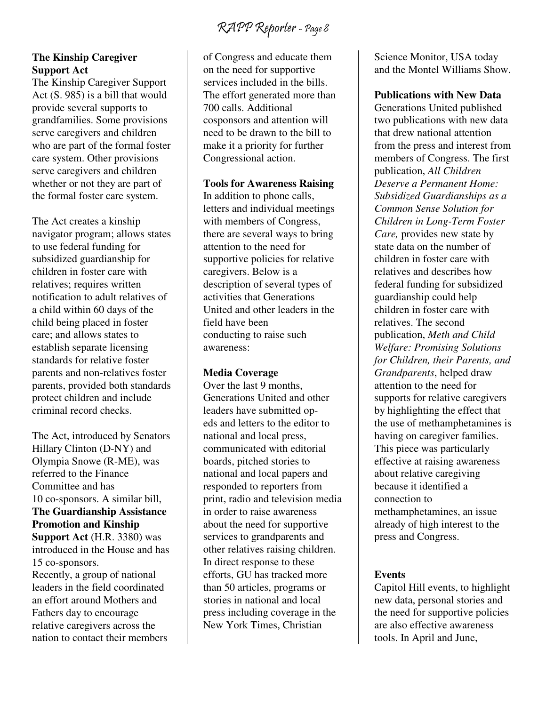#### **The Kinship Caregiver Support Act**

The Kinship Caregiver Support Act (S. 985) is a bill that would provide several supports to grandfamilies. Some provisions serve caregivers and children who are part of the formal foster care system. Other provisions serve caregivers and children whether or not they are part of the formal foster care system.

The Act creates a kinship navigator program; allows states to use federal funding for subsidized guardianship for children in foster care with relatives; requires written notification to adult relatives of a child within 60 days of the child being placed in foster care; and allows states to establish separate licensing standards for relative foster parents and non-relatives foster parents, provided both standards protect children and include criminal record checks.

The Act, introduced by Senators Hillary Clinton (D-NY) and Olympia Snowe (R-ME), was referred to the Finance Committee and has 10 co-sponsors. A similar bill, **The Guardianship Assistance Promotion and Kinship Support Act** (H.R. 3380) was introduced in the House and has 15 co-sponsors. Recently, a group of national leaders in the field coordinated an effort around Mothers and Fathers day to encourage relative caregivers across the nation to contact their members

of Congress and educate them on the need for supportive services included in the bills. The effort generated more than 700 calls. Additional cosponsors and attention will need to be drawn to the bill to make it a priority for further Congressional action.

**Tools for Awareness Raising** 

In addition to phone calls, letters and individual meetings with members of Congress, there are several ways to bring attention to the need for supportive policies for relative caregivers. Below is a description of several types of activities that Generations United and other leaders in the field have been conducting to raise such awareness:

#### **Media Coverage**

Over the last 9 months, Generations United and other leaders have submitted opeds and letters to the editor to national and local press, communicated with editorial boards, pitched stories to national and local papers and responded to reporters from print, radio and television media in order to raise awareness about the need for supportive services to grandparents and other relatives raising children. In direct response to these efforts, GU has tracked more than 50 articles, programs or stories in national and local press including coverage in the New York Times, Christian

Science Monitor, USA today and the Montel Williams Show.

**Publications with New Data** 

Generations United published two publications with new data that drew national attention from the press and interest from members of Congress. The first publication, *All Children Deserve a Permanent Home: Subsidized Guardianships as a Common Sense Solution for Children in Long-Term Foster Care,* provides new state by state data on the number of children in foster care with relatives and describes how federal funding for subsidized guardianship could help children in foster care with relatives. The second publication, *Meth and Child Welfare: Promising Solutions for Children, their Parents, and Grandparents*, helped draw attention to the need for supports for relative caregivers by highlighting the effect that the use of methamphetamines is having on caregiver families. This piece was particularly effective at raising awareness about relative caregiving because it identified a connection to methamphetamines, an issue already of high interest to the press and Congress.

#### **Events**

Capitol Hill events, to highlight new data, personal stories and the need for supportive policies are also effective awareness tools. In April and June,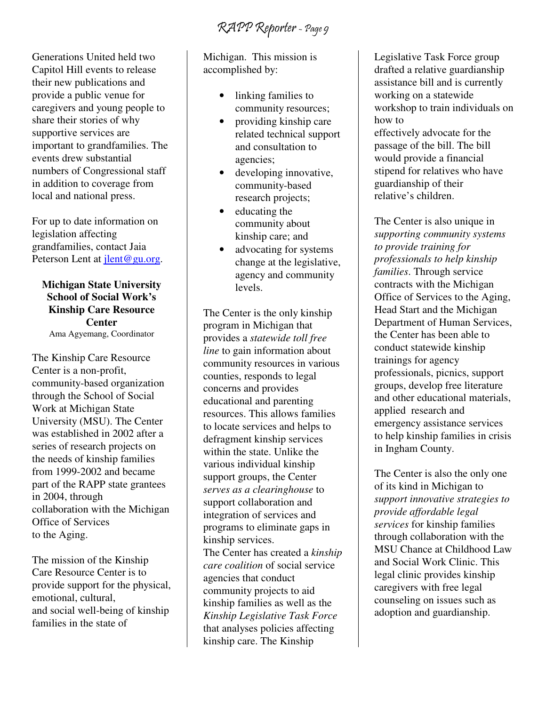RAPP Reporter - Page 9

Generations United held two Capitol Hill events to release their new publications and provide a public venue for caregivers and young people to share their stories of why supportive services are important to grandfamilies. The events drew substantial numbers of Congressional staff in addition to coverage from local and national press.

For up to date information on legislation affecting grandfamilies, contact Jaia Peterson Lent at jlent@gu.org.

**Michigan State University School of Social Work's Kinship Care Resource Center**  Ama Agyemang, Coordinator

The Kinship Care Resource Center is a non-profit, community-based organization through the School of Social Work at Michigan State University (MSU). The Center was established in 2002 after a series of research projects on the needs of kinship families from 1999-2002 and became part of the RAPP state grantees in 2004, through collaboration with the Michigan Office of Services to the Aging.

The mission of the Kinship Care Resource Center is to provide support for the physical, emotional, cultural, and social well-being of kinship families in the state of

Michigan. This mission is accomplished by:

- linking families to community resources;
- providing kinship care related technical support and consultation to agencies;
- developing innovative, community-based research projects;
- educating the community about kinship care; and
- advocating for systems change at the legislative, agency and community levels.

The Center is the only kinship program in Michigan that provides a *statewide toll free line* to gain information about community resources in various counties, responds to legal concerns and provides educational and parenting resources. This allows families to locate services and helps to defragment kinship services within the state. Unlike the various individual kinship support groups, the Center *serves as a clearinghouse* to support collaboration and integration of services and programs to eliminate gaps in kinship services. The Center has created a *kinship care coalition* of social service agencies that conduct community projects to aid kinship families as well as the *Kinship Legislative Task Force* that analyses policies affecting kinship care. The Kinship

Legislative Task Force group drafted a relative guardianship assistance bill and is currently working on a statewide workshop to train individuals on how to effectively advocate for the passage of the bill. The bill would provide a financial stipend for relatives who have guardianship of their relative's children.

The Center is also unique in *supporting community systems to provide training for professionals to help kinship families*. Through service contracts with the Michigan Office of Services to the Aging, Head Start and the Michigan Department of Human Services, the Center has been able to conduct statewide kinship trainings for agency professionals, picnics, support groups, develop free literature and other educational materials, applied research and emergency assistance services to help kinship families in crisis in Ingham County.

The Center is also the only one of its kind in Michigan to *support innovative strategies to provide affordable legal services* for kinship families through collaboration with the MSU Chance at Childhood Law and Social Work Clinic. This legal clinic provides kinship caregivers with free legal counseling on issues such as adoption and guardianship.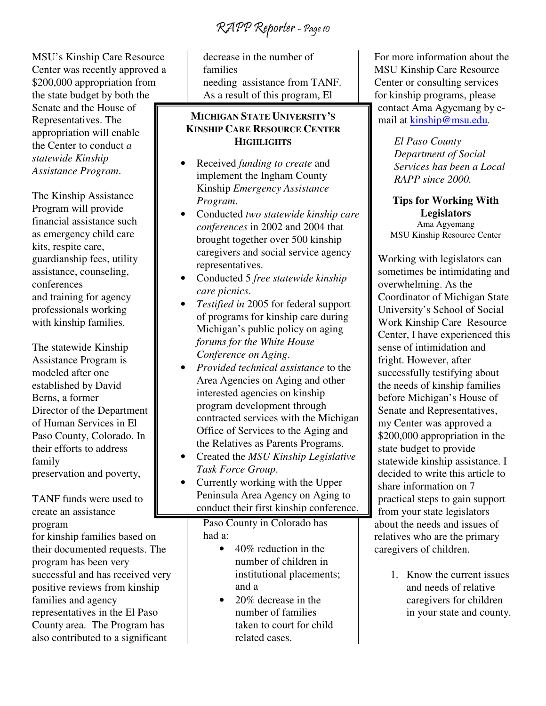RAPP Reporter - Page 10

MSU's Kinship Care Resource Center was recently approved a \$200,000 appropriation from the state budget by both the Senate and the House of Representatives. The appropriation will enable the Center to conduct *a statewide Kinship Assistance Program*.

The Kinship Assistance Program will provide financial assistance such as emergency child care kits, respite care, guardianship fees, utility assistance, counseling, conferences and training for agency professionals working with kinship families.

The statewide Kinship Assistance Program is modeled after one established by David Berns, a former Director of the Department of Human Services in El Paso County, Colorado. In their efforts to address family preservation and poverty,

#### TANF funds were used to create an assistance program

for kinship families based on their documented requests. The program has been very successful and has received very positive reviews from kinship families and agency representatives in the El Paso County area. The Program has also contributed to a significant

decrease in the number of families needing assistance from TANF. As a result of this program, El

#### **MICHIGAN STATE UNIVERSITY'S KINSHIP CARE RESOURCE CENTER HIGHLIGHTS**

- Received *funding to create* and implement the Ingham County Kinship *Emergency Assistance Program*.
- Conducted *two statewide kinship care conferences* in 2002 and 2004 that brought together over 500 kinship caregivers and social service agency representatives.
- Conducted 5 *free statewide kinship care picnics*.
- *Testified in* 2005 for federal support of programs for kinship care during Michigan's public policy on aging *forums for the White House Conference on Aging*.
- *Provided technical assistance* to the Area Agencies on Aging and other interested agencies on kinship program development through contracted services with the Michigan Office of Services to the Aging and the Relatives as Parents Programs.
- Created the *MSU Kinship Legislative Task Force Group*.
- Currently working with the Upper Peninsula Area Agency on Aging to conduct their first kinship conference.

Paso County in Colorado has had a:

- 40% reduction in the number of children in institutional placements; and a
- 20% decrease in the number of families taken to court for child related cases.

For more information about the MSU Kinship Care Resource Center or consulting services for kinship programs, please contact Ama Agyemang by email at kinship@msu.edu*.* 

> *El Paso County Department of Social Services has been a Local RAPP since 2000.*

**Tips for Working With Legislators**  Ama Agyemang MSU Kinship Resource Center

Working with legislators can sometimes be intimidating and overwhelming. As the Coordinator of Michigan State University's School of Social Work Kinship Care Resource Center, I have experienced this sense of intimidation and fright. However, after successfully testifying about the needs of kinship families before Michigan's House of Senate and Representatives, my Center was approved a \$200,000 appropriation in the state budget to provide statewide kinship assistance. I decided to write this article to share information on 7 practical steps to gain support from your state legislators about the needs and issues of relatives who are the primary caregivers of children.

> 1. Know the current issues and needs of relative caregivers for children in your state and county.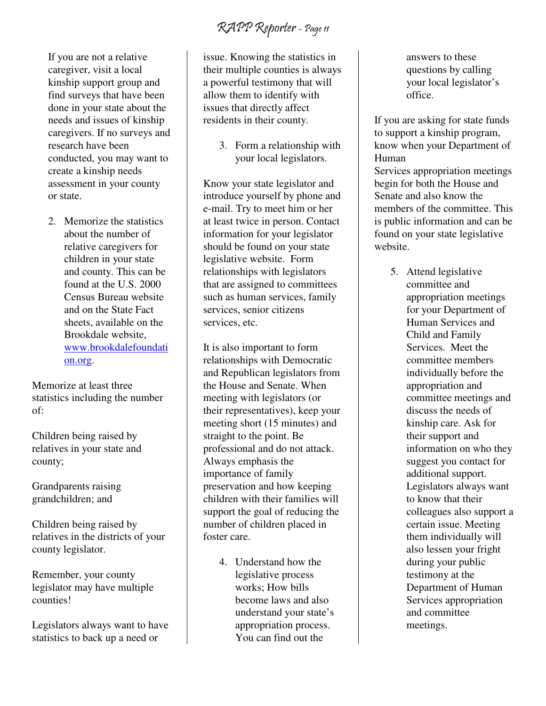If you are not a relative caregiver, visit a local kinship support group and find surveys that have been done in your state about the needs and issues of kinship caregivers. If no surveys and research have been conducted, you may want to create a kinship needs assessment in your county or state.

2. Memorize the statistics about the number of relative caregivers for children in your state and county. This can be found at the U.S. 2000 Census Bureau website and on the State Fact sheets, available on the Brookdale website, www.brookdalefoundati on.org.

Memorize at least three statistics including the number of:

Children being raised by relatives in your state and county;

Grandparents raising grandchildren; and

Children being raised by relatives in the districts of your county legislator.

Remember, your county legislator may have multiple counties!

Legislators always want to have statistics to back up a need or

issue. Knowing the statistics in their multiple counties is always a powerful testimony that will allow them to identify with issues that directly affect residents in their county.

> 3. Form a relationship with your local legislators.

Know your state legislator and introduce yourself by phone and e-mail. Try to meet him or her at least twice in person. Contact information for your legislator should be found on your state legislative website. Form relationships with legislators that are assigned to committees such as human services, family services, senior citizens services, etc.

It is also important to form relationships with Democratic and Republican legislators from the House and Senate. When meeting with legislators (or their representatives), keep your meeting short (15 minutes) and straight to the point. Be professional and do not attack. Always emphasis the importance of family preservation and how keeping children with their families will support the goal of reducing the number of children placed in foster care.

> 4. Understand how the legislative process works; How bills become laws and also understand your state's appropriation process. You can find out the

answers to these questions by calling your local legislator's office.

If you are asking for state funds to support a kinship program, know when your Department of Human

Services appropriation meetings begin for both the House and Senate and also know the members of the committee. This is public information and can be found on your state legislative website.

> 5. Attend legislative committee and appropriation meetings for your Department of Human Services and Child and Family Services. Meet the committee members individually before the appropriation and committee meetings and discuss the needs of kinship care. Ask for their support and information on who they suggest you contact for additional support. Legislators always want to know that their colleagues also support a certain issue. Meeting them individually will also lessen your fright during your public testimony at the Department of Human Services appropriation and committee meetings.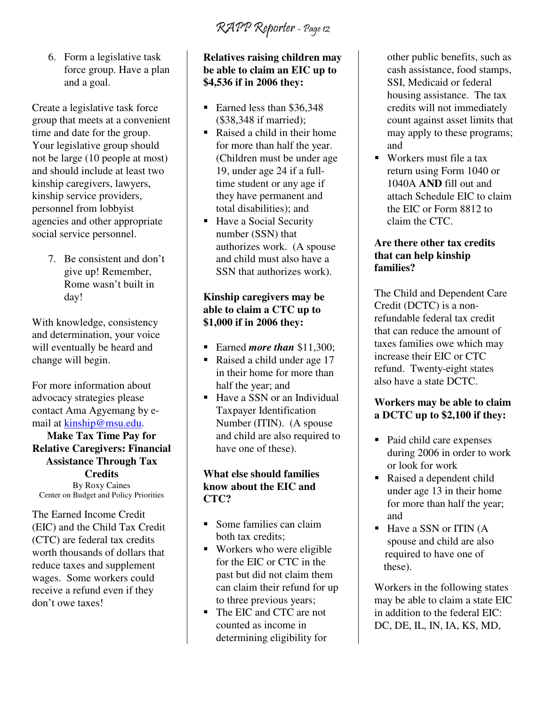RAPP Reporter - Page 12

6. Form a legislative task force group. Have a plan and a goal.

Create a legislative task force group that meets at a convenient time and date for the group. Your legislative group should not be large (10 people at most) and should include at least two kinship caregivers, lawyers, kinship service providers, personnel from lobbyist agencies and other appropriate social service personnel.

> 7. Be consistent and don't give up! Remember, Rome wasn't built in day!

With knowledge, consistency and determination, your voice will eventually be heard and change will begin.

For more information about advocacy strategies please contact Ama Agyemang by email at kinship@msu.edu.

**Make Tax Time Pay for Relative Caregivers: Financial Assistance Through Tax Credits**  By Roxy Caines Center on Budget and Policy Priorities

The Earned Income Credit (EIC) and the Child Tax Credit (CTC) are federal tax credits worth thousands of dollars that reduce taxes and supplement wages. Some workers could receive a refund even if they don't owe taxes!

#### **Relatives raising children may be able to claim an EIC up to \$4,536 if in 2006 they:**

- Earned less than \$36,348 (\$38,348 if married);
- Raised a child in their home for more than half the year. (Children must be under age 19, under age 24 if a fulltime student or any age if they have permanent and total disabilities); and
- Have a Social Security number (SSN) that authorizes work. (A spouse and child must also have a SSN that authorizes work).

#### **Kinship caregivers may be able to claim a CTC up to \$1,000 if in 2006 they:**

- Earned *more than* \$11,300;
- Raised a child under age 17 in their home for more than half the year; and
- Have a SSN or an Individual Taxpayer Identification Number (ITIN). (A spouse and child are also required to have one of these).

#### **What else should families know about the EIC and CTC?**

- Some families can claim both tax credits;
- **Workers** who were eligible for the EIC or CTC in the past but did not claim them can claim their refund for up to three previous years;
- The EIC and CTC are not counted as income in determining eligibility for

other public benefits, such as cash assistance, food stamps, SSI, Medicaid or federal housing assistance. The tax credits will not immediately count against asset limits that may apply to these programs; and

■ Workers must file a tax return using Form 1040 or 1040A **AND** fill out and attach Schedule EIC to claim the EIC or Form 8812 to claim the CTC.

#### **Are there other tax credits that can help kinship families?**

The Child and Dependent Care Credit (DCTC) is a nonrefundable federal tax credit that can reduce the amount of taxes families owe which may increase their EIC or CTC refund. Twenty-eight states also have a state DCTC.

#### **Workers may be able to claim a DCTC up to \$2,100 if they:**

- Paid child care expenses during 2006 in order to work or look for work
- Raised a dependent child under age 13 in their home for more than half the year; and
- $\blacksquare$  Have a SSN or ITIN (A spouse and child are also required to have one of these).

Workers in the following states may be able to claim a state EIC in addition to the federal EIC: DC, DE, IL, IN, IA, KS, MD,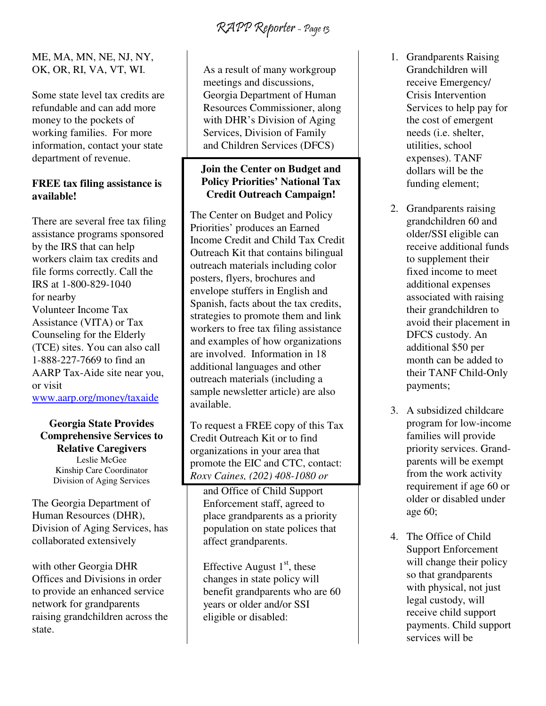#### ME, MA, MN, NE, NJ, NY, OK, OR, RI, VA, VT, WI.

Some state level tax credits are refundable and can add more money to the pockets of working families. For more information, contact your state department of revenue.

#### **FREE tax filing assistance is available!**

There are several free tax filing assistance programs sponsored by the IRS that can help workers claim tax credits and file forms correctly. Call the IRS at 1-800-829-1040 for nearby Volunteer Income Tax Assistance (VITA) or Tax Counseling for the Elderly (TCE) sites. You can also call 1-888-227-7669 to find an AARP Tax-Aide site near you, or visit www.aarp.org/money/taxaide

#### **Georgia State Provides Comprehensive Services to Relative Caregivers**  Leslie McGee

Kinship Care Coordinator Division of Aging Services

The Georgia Department of Human Resources (DHR), Division of Aging Services, has collaborated extensively

with other Georgia DHR Offices and Divisions in order to provide an enhanced service network for grandparents raising grandchildren across the state.

As a result of many workgroup meetings and discussions, Georgia Department of Human Resources Commissioner, along with DHR's Division of Aging Services, Division of Family and Children Services (DFCS)

#### **Join the Center on Budget and Policy Priorities' National Tax Credit Outreach Campaign!**

The Center on Budget and Policy Priorities' produces an Earned Income Credit and Child Tax Credit Outreach Kit that contains bilingual outreach materials including color posters, flyers, brochures and envelope stuffers in English and Spanish, facts about the tax credits, strategies to promote them and link workers to free tax filing assistance and examples of how organizations are involved. Information in 18 additional languages and other outreach materials (including a sample newsletter article) are also available.

To request a FREE copy of this Tax Credit Outreach Kit or to find organizations in your area that promote the EIC and CTC, contact: *Roxy Caines, (202) 408-1080 or* 

and Office of Child Support Enforcement staff, agreed to place grandparents as a priority population on state polices that affect grandparents.

Effective August  $1<sup>st</sup>$ , these changes in state policy will benefit grandparents who are 60 years or older and/or SSI eligible or disabled:

- 1. Grandparents Raising Grandchildren will receive Emergency/ Crisis Intervention Services to help pay for the cost of emergent needs (i.e. shelter, utilities, school expenses). TANF dollars will be the funding element;
- 2. Grandparents raising grandchildren 60 and older/SSI eligible can receive additional funds to supplement their fixed income to meet additional expenses associated with raising their grandchildren to avoid their placement in DFCS custody. An additional \$50 per month can be added to their TANF Child-Only payments;
- 3. A subsidized childcare program for low-income families will provide priority services. Grandparents will be exempt from the work activity requirement if age 60 or older or disabled under age 60;
- 4. The Office of Child Support Enforcement will change their policy so that grandparents with physical, not just legal custody, will receive child support payments. Child support services will be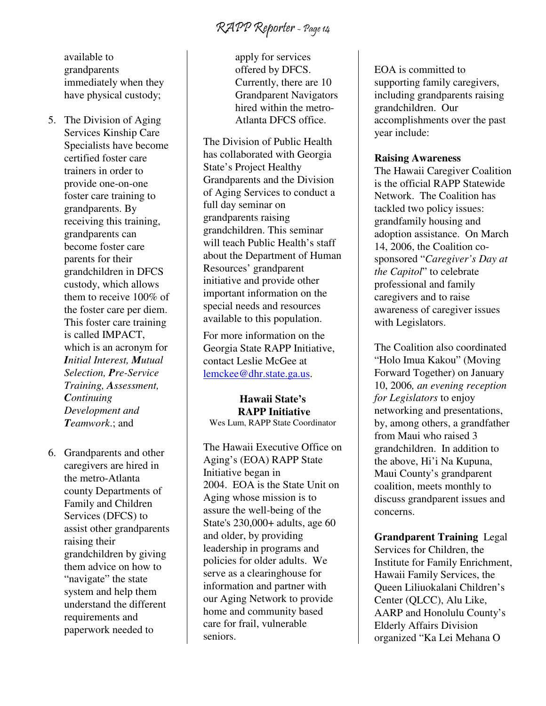RAPP Reporter - Page 14

available to grandparents immediately when they have physical custody;

- 5. The Division of Aging Services Kinship Care Specialists have become certified foster care trainers in order to provide one-on-one foster care training to grandparents. By receiving this training, grandparents can become foster care parents for their grandchildren in DFCS custody, which allows them to receive 100% of the foster care per diem. This foster care training is called IMPACT, which is an acronym for *Initial Interest, Mutual Selection, Pre-Service Training, Assessment, Continuing Development and Teamwork*.; and
- 6. Grandparents and other caregivers are hired in the metro-Atlanta county Departments of Family and Children Services (DFCS) to assist other grandparents raising their grandchildren by giving them advice on how to "navigate" the state system and help them understand the different requirements and paperwork needed to

apply for services offered by DFCS. Currently, there are 10 Grandparent Navigators hired within the metro-Atlanta DFCS office.

The Division of Public Health has collaborated with Georgia State's Project Healthy Grandparents and the Division of Aging Services to conduct a full day seminar on grandparents raising grandchildren. This seminar will teach Public Health's staff about the Department of Human Resources' grandparent initiative and provide other important information on the special needs and resources available to this population.

For more information on the Georgia State RAPP Initiative, contact Leslie McGee at lemckee@dhr.state.ga.us.

**Hawaii State's RAPP Initiative** Wes Lum, RAPP State Coordinator

The Hawaii Executive Office on Aging's (EOA) RAPP State Initiative began in 2004. EOA is the State Unit on Aging whose mission is to assure the well-being of the State's 230,000+ adults, age 60 and older, by providing leadership in programs and policies for older adults. We serve as a clearinghouse for information and partner with our Aging Network to provide home and community based care for frail, vulnerable seniors.

EOA is committed to supporting family caregivers, including grandparents raising grandchildren. Our accomplishments over the past year include:

#### **Raising Awareness**

The Hawaii Caregiver Coalition is the official RAPP Statewide Network. The Coalition has tackled two policy issues: grandfamily housing and adoption assistance. On March 14, 2006, the Coalition cosponsored "*Caregiver's Day at the Capitol*" to celebrate professional and family caregivers and to raise awareness of caregiver issues with Legislators.

The Coalition also coordinated "Holo Imua Kakou" (Moving Forward Together) on January 10, 2006*, an evening reception for Legislators* to enjoy networking and presentations, by, among others, a grandfather from Maui who raised 3 grandchildren. In addition to the above, Hi'i Na Kupuna, Maui County's grandparent coalition, meets monthly to discuss grandparent issues and concerns.

**Grandparent Training** Legal Services for Children, the Institute for Family Enrichment, Hawaii Family Services, the Queen Liliuokalani Children's Center (QLCC), Alu Like, AARP and Honolulu County's Elderly Affairs Division organized "Ka Lei Mehana O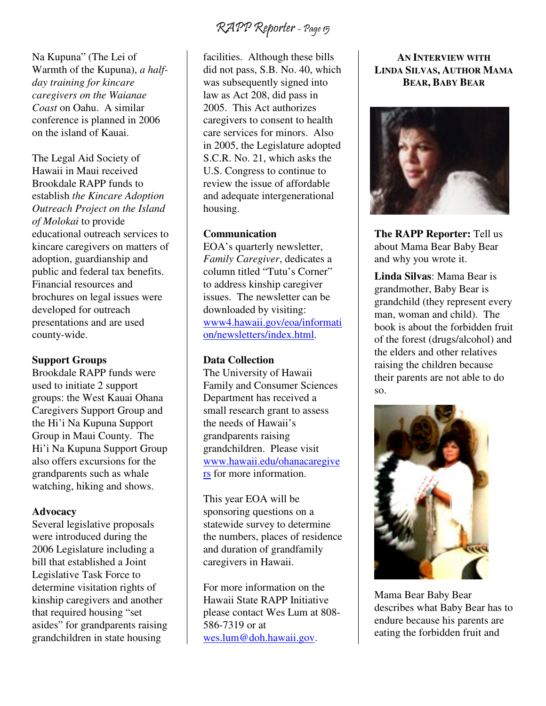Na Kupuna" (The Lei of Warmth of the Kupuna), *a halfday training for kincare caregivers on the Waianae Coast* on Oahu. A similar conference is planned in 2006 on the island of Kauai.

The Legal Aid Society of Hawaii in Maui received Brookdale RAPP funds to establish *the Kincare Adoption Outreach Project on the Island of Molokai* to provide educational outreach services to kincare caregivers on matters of adoption, guardianship and public and federal tax benefits. Financial resources and brochures on legal issues were developed for outreach presentations and are used county-wide.

#### **Support Groups**

Brookdale RAPP funds were used to initiate 2 support groups: the West Kauai Ohana Caregivers Support Group and the Hi'i Na Kupuna Support Group in Maui County. The Hi'i Na Kupuna Support Group also offers excursions for the grandparents such as whale watching, hiking and shows.

#### **Advocacy**

Several legislative proposals were introduced during the 2006 Legislature including a bill that established a Joint Legislative Task Force to determine visitation rights of kinship caregivers and another that required housing "set asides" for grandparents raising grandchildren in state housing

facilities. Although these bills did not pass, S.B. No. 40, which was subsequently signed into law as Act 208, did pass in 2005. This Act authorizes caregivers to consent to health care services for minors. Also in 2005, the Legislature adopted S.C.R. No. 21, which asks the U.S. Congress to continue to review the issue of affordable and adequate intergenerational housing.

#### **Communication**

EOA's quarterly newsletter, *Family Caregiver*, dedicates a column titled "Tutu's Corner" to address kinship caregiver issues. The newsletter can be downloaded by visiting: www4.hawaii.gov/eoa/informati on/newsletters/index.html.

#### **Data Collection**

The University of Hawaii Family and Consumer Sciences Department has received a small research grant to assess the needs of Hawaii's grandparents raising grandchildren. Please visit www.hawaii.edu/ohanacaregive rs for more information.

This year EOA will be sponsoring questions on a statewide survey to determine the numbers, places of residence and duration of grandfamily caregivers in Hawaii.

For more information on the Hawaii State RAPP Initiative please contact Wes Lum at 808- 586-7319 or at wes.lum@doh.hawaii.gov.

#### **AN INTERVIEW WITH LINDA SILVAS, AUTHOR MAMA BEAR, BABY BEAR**



**The RAPP Reporter:** Tell us about Mama Bear Baby Bear and why you wrote it.

**Linda Silvas**: Mama Bear is grandmother, Baby Bear is grandchild (they represent every man, woman and child). The book is about the forbidden fruit of the forest (drugs/alcohol) and the elders and other relatives raising the children because their parents are not able to do so.



Mama Bear Baby Bear describes what Baby Bear has to endure because his parents are eating the forbidden fruit and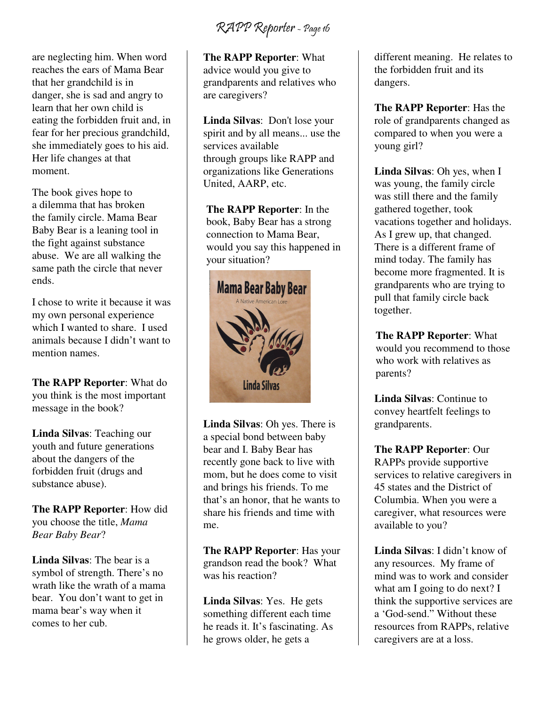RAPP Reporter - Page 16

are neglecting him. When word reaches the ears of Mama Bear that her grandchild is in danger, she is sad and angry to learn that her own child is eating the forbidden fruit and, in fear for her precious grandchild, she immediately goes to his aid. Her life changes at that moment.

The book gives hope to a dilemma that has broken the family circle. Mama Bear Baby Bear is a leaning tool in the fight against substance abuse. We are all walking the same path the circle that never ends.

I chose to write it because it was my own personal experience which I wanted to share. I used animals because I didn't want to mention names.

**The RAPP Reporter**: What do you think is the most important message in the book?

**Linda Silvas**: Teaching our youth and future generations about the dangers of the forbidden fruit (drugs and substance abuse).

**The RAPP Reporter**: How did you choose the title, *Mama Bear Baby Bear*?

**Linda Silvas**: The bear is a symbol of strength. There's no wrath like the wrath of a mama bear. You don't want to get in mama bear's way when it comes to her cub.

**The RAPP Reporter**: What advice would you give to grandparents and relatives who are caregivers?

**Linda Silvas**: Don't lose your spirit and by all means... use the services available through groups like RAPP and organizations like Generations United, AARP, etc.

**The RAPP Reporter**: In the book, Baby Bear has a strong connection to Mama Bear, would you say this happened in your situation?



**Linda Silvas**: Oh yes. There is a special bond between baby bear and I. Baby Bear has recently gone back to live with mom, but he does come to visit and brings his friends. To me that's an honor, that he wants to share his friends and time with me.

**The RAPP Reporter**: Has your grandson read the book? What was his reaction?

**Linda Silvas**: Yes. He gets something different each time he reads it. It's fascinating. As he grows older, he gets a

different meaning. He relates to the forbidden fruit and its dangers.

**The RAPP Reporter**: Has the role of grandparents changed as compared to when you were a young girl?

**Linda Silvas**: Oh yes, when I was young, the family circle was still there and the family gathered together, took vacations together and holidays. As I grew up, that changed. There is a different frame of mind today. The family has become more fragmented. It is grandparents who are trying to pull that family circle back together.

**The RAPP Reporter**: What would you recommend to those who work with relatives as parents?

**Linda Silvas**: Continue to convey heartfelt feelings to grandparents.

**The RAPP Reporter**: Our RAPPs provide supportive services to relative caregivers in 45 states and the District of Columbia. When you were a caregiver, what resources were available to you?

**Linda Silvas**: I didn't know of any resources. My frame of mind was to work and consider what am I going to do next? I think the supportive services are a 'God-send." Without these resources from RAPPs, relative caregivers are at a loss.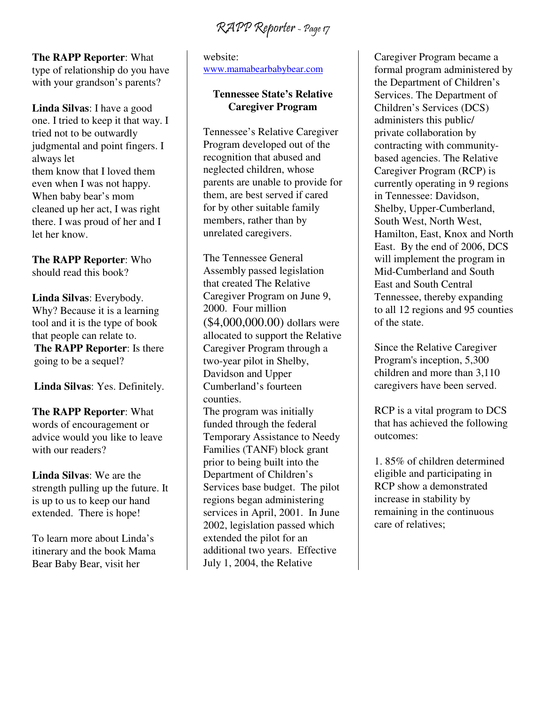RAPP Reporter - Page 17

**The RAPP Reporter**: What

type of relationship do you have with your grandson's parents?

**Linda Silvas**: I have a good one. I tried to keep it that way. I tried not to be outwardly judgmental and point fingers. I always let them know that I loved them even when I was not happy. When baby bear's mom cleaned up her act, I was right there. I was proud of her and I let her know.

**The RAPP Reporter**: Who should read this book?

**Linda Silvas**: Everybody. Why? Because it is a learning tool and it is the type of book that people can relate to. **The RAPP Reporter**: Is there going to be a sequel?

**Linda Silvas**: Yes. Definitely.

**The RAPP Reporter**: What words of encouragement or advice would you like to leave with our readers?

**Linda Silvas**: We are the strength pulling up the future. It is up to us to keep our hand extended. There is hope!

To learn more about Linda's itinerary and the book Mama Bear Baby Bear, visit her

website: www.mamabearbabybear.com

#### **Tennessee State's Relative Caregiver Program**

Tennessee's Relative Caregiver Program developed out of the recognition that abused and neglected children, whose parents are unable to provide for them, are best served if cared for by other suitable family members, rather than by unrelated caregivers.

The Tennessee General Assembly passed legislation that created The Relative Caregiver Program on June 9, 2000. Four million (\$4,000,000.00) dollars were allocated to support the Relative Caregiver Program through a two-year pilot in Shelby, Davidson and Upper Cumberland's fourteen counties. The program was initially funded through the federal

Temporary Assistance to Needy Families (TANF) block grant prior to being built into the Department of Children's Services base budget. The pilot regions began administering services in April, 2001. In June 2002, legislation passed which extended the pilot for an additional two years. Effective July 1, 2004, the Relative

Caregiver Program became a formal program administered by the Department of Children's Services. The Department of Children's Services (DCS) administers this public/ private collaboration by contracting with communitybased agencies. The Relative Caregiver Program (RCP) is currently operating in 9 regions in Tennessee: Davidson, Shelby, Upper-Cumberland, South West, North West, Hamilton, East, Knox and North East. By the end of 2006, DCS will implement the program in Mid-Cumberland and South East and South Central Tennessee, thereby expanding to all 12 regions and 95 counties of the state.

Since the Relative Caregiver Program's inception, 5,300 children and more than 3,110 caregivers have been served.

RCP is a vital program to DCS that has achieved the following outcomes:

1. 85% of children determined eligible and participating in RCP show a demonstrated increase in stability by remaining in the continuous care of relatives;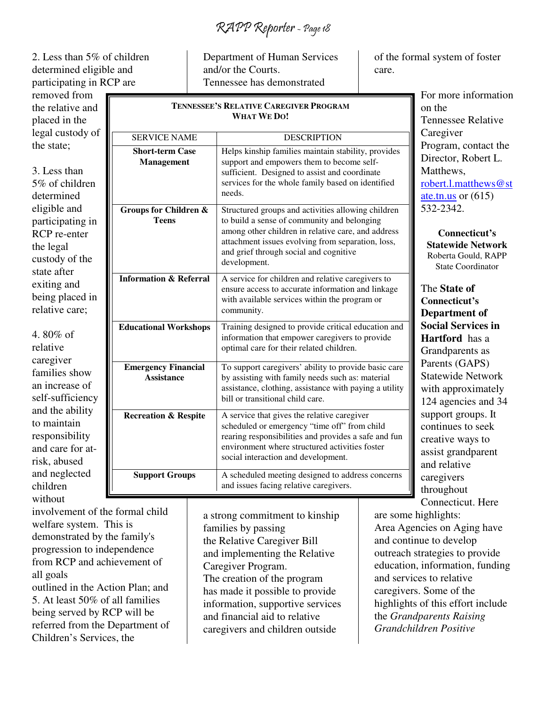RAPP Reporter - Page 18

2. Less than 5% of children determined eligible and participating in RCP are

removed from the relative and placed in the legal custody of the state;

3. Less than 5% of children determined eligible and participating in RCP re-enter the legal custody of the state after exiting and being placed in relative care;

4. 80% of relative caregiver families show an increase of self-sufficiency and the ability to maintain responsibility and care for atrisk, abused and neglected children without

Department of Human Services and/or the Courts. Tennessee has demonstrated

#### **TENNESSEE'S RELATIVE CAREGIVER PROGRAM WHAT WE DO!**

| <b>SERVICE NAME</b>                              | <b>DESCRIPTION</b>                                                                                                                                                                                                                                                     |
|--------------------------------------------------|------------------------------------------------------------------------------------------------------------------------------------------------------------------------------------------------------------------------------------------------------------------------|
| <b>Short-term Case</b><br><b>Management</b>      | Helps kinship families maintain stability, provides<br>support and empowers them to become self-<br>sufficient. Designed to assist and coordinate<br>services for the whole family based on identified<br>needs.                                                       |
| <b>Groups for Children &amp;</b><br><b>Teens</b> | Structured groups and activities allowing children<br>to build a sense of community and belonging<br>among other children in relative care, and address<br>attachment issues evolving from separation, loss,<br>and grief through social and cognitive<br>development. |
| <b>Information &amp; Referral</b>                | A service for children and relative caregivers to<br>ensure access to accurate information and linkage<br>with available services within the program or<br>community.                                                                                                  |
| <b>Educational Workshops</b>                     | Training designed to provide critical education and<br>information that empower caregivers to provide<br>optimal care for their related children.                                                                                                                      |
| <b>Emergency Financial</b><br>Assistance         | To support caregivers' ability to provide basic care<br>by assisting with family needs such as: material<br>assistance, clothing, assistance with paying a utility<br>bill or transitional child care.                                                                 |
| <b>Recreation &amp; Respite</b>                  | A service that gives the relative caregiver<br>scheduled or emergency "time off" from child<br>rearing responsibilities and provides a safe and fun<br>environment where structured activities foster<br>social interaction and development.                           |
| <b>Support Groups</b>                            | A scheduled meeting designed to address concerns<br>and issues facing relative caregivers.                                                                                                                                                                             |

involvement of the formal child welfare system. This is demonstrated by the family's progression to independence from RCP and achievement of all goals outlined in the Action Plan; and

5. At least 50% of all families being served by RCP will be referred from the Department of Children's Services, the

a strong commitment to kinship families by passing the Relative Caregiver Bill and implementing the Relative Caregiver Program. The creation of the program has made it possible to provide information, supportive services and financial aid to relative caregivers and children outside

of the formal system of foster care.

> For more information on the Tennessee Relative Caregiver Program, contact the Director, Robert L. Matthews, robert.l.matthews@st ate.tn.us or (615) 532-2342.

**Connecticut's Statewide Network**  Roberta Gould, RAPP State Coordinator

The **State of Connecticut's Department of Social Services in Hartford** has a Grandparents as Parents (GAPS) Statewide Network with approximately 124 agencies and 34 support groups. It continues to seek creative ways to assist grandparent and relative caregivers throughout Connecticut. Here

are some highlights: Area Agencies on Aging have and continue to develop outreach strategies to provide education, information, funding and services to relative caregivers. Some of the highlights of this effort include the *Grandparents Raising Grandchildren Positive*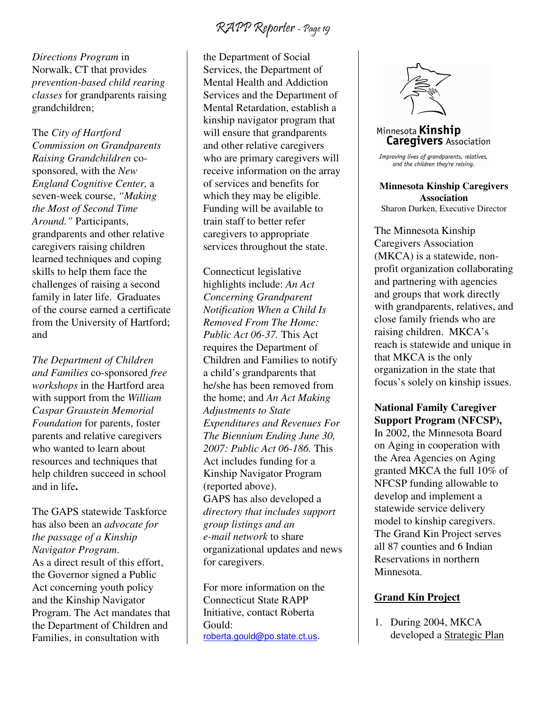*Directions Program* in Norwalk, CT that provides *prevention-based child rearing classes* for grandparents raising grandchildren;

The *City of Hartford Commission on Grandparents Raising Grandchildren* cosponsored, with the *New England Cognitive Center,* a seven-week course, *"Making the Most of Second Time Around."* Participants, grandparents and other relative caregivers raising children learned techniques and coping skills to help them face the challenges of raising a second family in later life. Graduates of the course earned a certificate from the University of Hartford; and

*The Department of Children and Families* co-sponsored *free workshops* in the Hartford area with support from the *William Caspar Graustein Memorial Foundation* for parents, foster parents and relative caregivers who wanted to learn about resources and techniques that help children succeed in school and in life**.**

The GAPS statewide Taskforce has also been an *advocate for the passage of a Kinship Navigator Program*. As a direct result of this effort, the Governor signed a Public Act concerning youth policy and the Kinship Navigator Program. The Act mandates that the Department of Children and Families, in consultation with

the Department of Social Services, the Department of Mental Health and Addiction Services and the Department of Mental Retardation, establish a kinship navigator program that will ensure that grandparents and other relative caregivers who are primary caregivers will receive information on the array of services and benefits for which they may be eligible. Funding will be available to train staff to better refer caregivers to appropriate services throughout the state.

Connecticut legislative highlights include: *An Act Concerning Grandparent Notification When a Child Is Removed From The Home: Public Act 06-37.* This Act requires the Department of Children and Families to notify a child's grandparents that he/she has been removed from the home; and *An Act Making Adjustments to State Expenditures and Revenues For The Biennium Ending June 30, 2007: Public Act 06-186.* This Act includes funding for a Kinship Navigator Program (reported above). GAPS has also developed a *directory that includes support group listings and an e-mail network* to share organizational updates and news for caregivers.

For more information on the Connecticut State RAPP Initiative, contact Roberta Gould: roberta.gould@po.state.ct.us.



### Minnesota **Kinship Caregivers** Association

Improving lives of grandparents, relatives, and the children they're raising.

**Minnesota Kinship Caregivers Association**  Sharon Durken, Executive Director

The Minnesota Kinship Caregivers Association (MKCA) is a statewide, nonprofit organization collaborating and partnering with agencies and groups that work directly with grandparents, relatives, and close family friends who are raising children. MKCA's reach is statewide and unique in that MKCA is the only organization in the state that focus's solely on kinship issues.

#### **National Family Caregiver Support Program (NFCSP),**

In 2002, the Minnesota Board on Aging in cooperation with the Area Agencies on Aging granted MKCA the full 10% of NFCSP funding allowable to develop and implement a statewide service delivery model to kinship caregivers. The Grand Kin Project serves all 87 counties and 6 Indian Reservations in northern Minnesota.

#### **Grand Kin Project**

1. During 2004, MKCA developed a Strategic Plan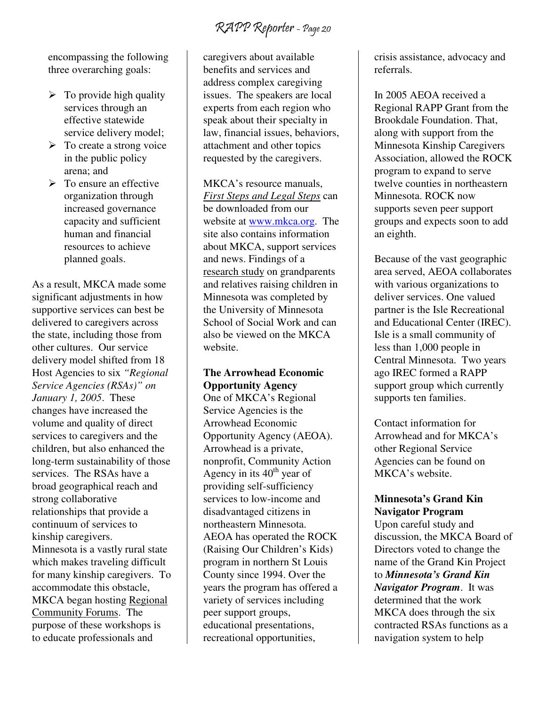encompassing the following three overarching goals:

- $\triangleright$  To provide high quality services through an effective statewide service delivery model;
- > To create a strong voice in the public policy arena; and
- $\triangleright$  To ensure an effective organization through increased governance capacity and sufficient human and financial resources to achieve planned goals.

As a result, MKCA made some significant adjustments in how supportive services can best be delivered to caregivers across the state, including those from other cultures. Our service delivery model shifted from 18 Host Agencies to six *"Regional Service Agencies (RSAs)" on January 1, 2005*.These changes have increased the volume and quality of direct services to caregivers and the children, but also enhanced the long-term sustainability of those services. The RSAs have a broad geographical reach and strong collaborative relationships that provide a continuum of services to kinship caregivers. Minnesota is a vastly rural state which makes traveling difficult for many kinship caregivers. To accommodate this obstacle, MKCA began hosting Regional Community Forums. The purpose of these workshops is to educate professionals and

caregivers about available benefits and services and address complex caregiving issues. The speakers are local experts from each region who speak about their specialty in law, financial issues, behaviors, attachment and other topics requested by the caregivers.

MKCA's resource manuals, *First Steps and Legal Steps* can be downloaded from our website at www.mkca.org. The site also contains information about MKCA, support services and news. Findings of a research study on grandparents and relatives raising children in Minnesota was completed by the University of Minnesota School of Social Work and can also be viewed on the MKCA website.

### **The Arrowhead Economic Opportunity Agency**

One of MKCA's Regional Service Agencies is the Arrowhead Economic Opportunity Agency (AEOA). Arrowhead is a private, nonprofit, Community Action Agency in its  $40<sup>th</sup>$  year of providing self-sufficiency services to low-income and disadvantaged citizens in northeastern Minnesota. AEOA has operated the ROCK (Raising Our Children's Kids) program in northern St Louis County since 1994. Over the years the program has offered a variety of services including peer support groups, educational presentations, recreational opportunities,

crisis assistance, advocacy and referrals.

In 2005 AEOA received a Regional RAPP Grant from the Brookdale Foundation. That, along with support from the Minnesota Kinship Caregivers Association, allowed the ROCK program to expand to serve twelve counties in northeastern Minnesota. ROCK now supports seven peer support groups and expects soon to add an eighth.

Because of the vast geographic area served, AEOA collaborates with various organizations to deliver services. One valued partner is the Isle Recreational and Educational Center (IREC). Isle is a small community of less than 1,000 people in Central Minnesota. Two years ago IREC formed a RAPP support group which currently supports ten families.

Contact information for Arrowhead and for MKCA's other Regional Service Agencies can be found on MKCA's website.

#### **Minnesota's Grand Kin Navigator Program**

Upon careful study and discussion, the MKCA Board of Directors voted to change the name of the Grand Kin Project to *Minnesota's Grand Kin Navigator Program*. It was determined that the work MKCA does through the six contracted RSAs functions as a navigation system to help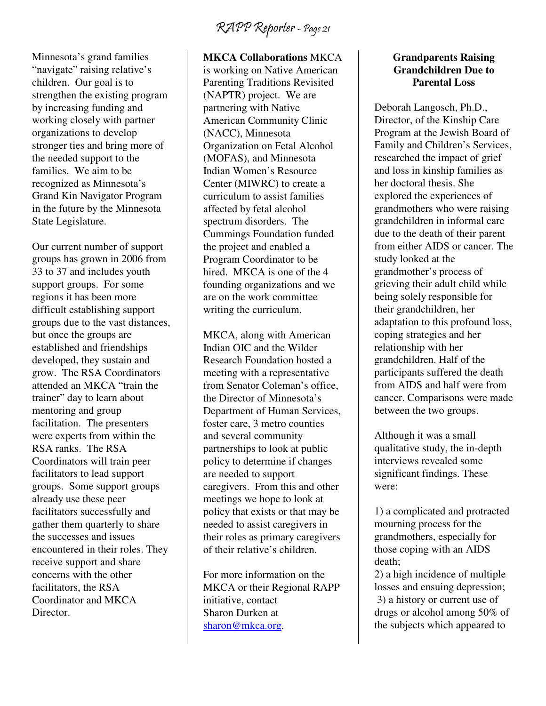Minnesota's grand families "navigate" raising relative's children. Our goal is to strengthen the existing program by increasing funding and working closely with partner organizations to develop stronger ties and bring more of the needed support to the families. We aim to be recognized as Minnesota's Grand Kin Navigator Program in the future by the Minnesota State Legislature.

Our current number of support groups has grown in 2006 from 33 to 37 and includes youth support groups. For some regions it has been more difficult establishing support groups due to the vast distances, but once the groups are established and friendships developed, they sustain and grow. The RSA Coordinators attended an MKCA "train the trainer" day to learn about mentoring and group facilitation. The presenters were experts from within the RSA ranks. The RSA Coordinators will train peer facilitators to lead support groups. Some support groups already use these peer facilitators successfully and gather them quarterly to share the successes and issues encountered in their roles. They receive support and share concerns with the other facilitators, the RSA Coordinator and MKCA Director.

#### **MKCA Collaborations** MKCA

is working on Native American Parenting Traditions Revisited (NAPTR) project. We are partnering with Native American Community Clinic (NACC), Minnesota Organization on Fetal Alcohol (MOFAS), and Minnesota Indian Women's Resource Center (MIWRC) to create a curriculum to assist families affected by fetal alcohol spectrum disorders. The Cummings Foundation funded the project and enabled a Program Coordinator to be hired. MKCA is one of the 4 founding organizations and we are on the work committee writing the curriculum.

MKCA, along with American Indian OIC and the Wilder Research Foundation hosted a meeting with a representative from Senator Coleman's office, the Director of Minnesota's Department of Human Services, foster care, 3 metro counties and several community partnerships to look at public policy to determine if changes are needed to support caregivers. From this and other meetings we hope to look at policy that exists or that may be needed to assist caregivers in their roles as primary caregivers of their relative's children.

For more information on the MKCA or their Regional RAPP initiative, contact Sharon Durken at sharon@mkca.org.

#### **Grandparents Raising Grandchildren Due to Parental Loss**

Deborah Langosch, Ph.D., Director, of the Kinship Care Program at the Jewish Board of Family and Children's Services, researched the impact of grief and loss in kinship families as her doctoral thesis. She explored the experiences of grandmothers who were raising grandchildren in informal care due to the death of their parent from either AIDS or cancer. The study looked at the grandmother's process of grieving their adult child while being solely responsible for their grandchildren, her adaptation to this profound loss, coping strategies and her relationship with her grandchildren. Half of the participants suffered the death from AIDS and half were from cancer. Comparisons were made between the two groups.

Although it was a small qualitative study, the in-depth interviews revealed some significant findings. These were:

1) a complicated and protracted mourning process for the grandmothers, especially for those coping with an AIDS death;

2) a high incidence of multiple losses and ensuing depression; 3) a history or current use of drugs or alcohol among 50% of the subjects which appeared to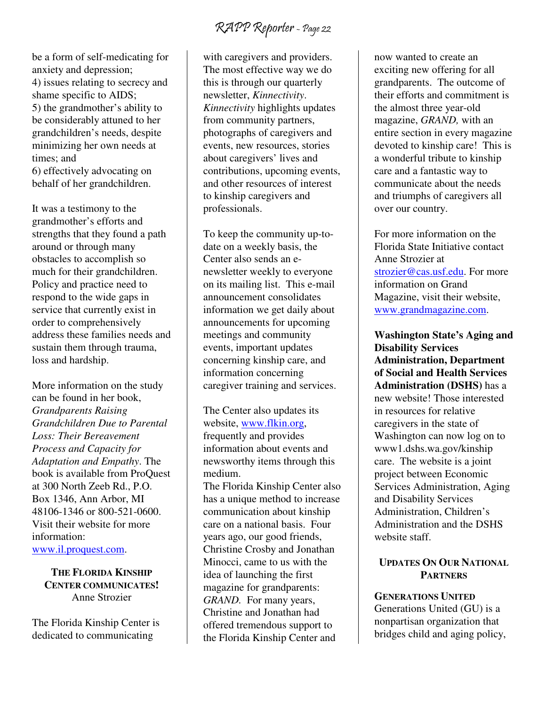be a form of self-medicating for anxiety and depression; 4) issues relating to secrecy and shame specific to AIDS; 5) the grandmother's ability to be considerably attuned to her grandchildren's needs, despite minimizing her own needs at times; and 6) effectively advocating on behalf of her grandchildren.

It was a testimony to the grandmother's efforts and strengths that they found a path around or through many obstacles to accomplish so much for their grandchildren. Policy and practice need to respond to the wide gaps in service that currently exist in order to comprehensively address these families needs and sustain them through trauma, loss and hardship.

More information on the study can be found in her book, *Grandparents Raising Grandchildren Due to Parental Loss: Their Bereavement Process and Capacity for Adaptation and Empathy*. The book is available from ProQuest at 300 North Zeeb Rd., P.O. Box 1346, Ann Arbor, MI 48106-1346 or 800-521-0600. Visit their website for more information: www.il.proquest.com.

**THE FLORIDA KINSHIP CENTER COMMUNICATES!**  Anne Strozier

The Florida Kinship Center is dedicated to communicating

with caregivers and providers. The most effective way we do this is through our quarterly newsletter, *Kinnectivity*. *Kinnectivity* highlights updates from community partners, photographs of caregivers and events, new resources, stories about caregivers' lives and contributions, upcoming events, and other resources of interest to kinship caregivers and professionals.

To keep the community up-todate on a weekly basis, the Center also sends an enewsletter weekly to everyone on its mailing list. This e-mail announcement consolidates information we get daily about announcements for upcoming meetings and community events, important updates concerning kinship care, and information concerning caregiver training and services.

The Center also updates its website, www.flkin.org, frequently and provides information about events and newsworthy items through this medium.

The Florida Kinship Center also has a unique method to increase communication about kinship care on a national basis. Four years ago, our good friends, Christine Crosby and Jonathan Minocci, came to us with the idea of launching the first magazine for grandparents: *GRAND.* For many years, Christine and Jonathan had offered tremendous support to the Florida Kinship Center and

now wanted to create an exciting new offering for all grandparents. The outcome of their efforts and commitment is the almost three year-old magazine, *GRAND,* with an entire section in every magazine devoted to kinship care! This is a wonderful tribute to kinship care and a fantastic way to communicate about the needs and triumphs of caregivers all over our country.

For more information on the Florida State Initiative contact Anne Strozier at strozier@cas.usf.edu. For more information on Grand Magazine, visit their website, www.grandmagazine.com.

**Washington State's Aging and Disability Services Administration, Department of Social and Health Services Administration (DSHS)** has a new website! Those interested in resources for relative caregivers in the state of Washington can now log on to www1.dshs.wa.gov/kinship care. The website is a joint project between Economic Services Administration, Aging and Disability Services Administration, Children's Administration and the DSHS website staff.

#### **UPDATES ON OUR NATIONAL PARTNERS**

**GENERATIONS UNITED**  Generations United (GU) is a nonpartisan organization that bridges child and aging policy,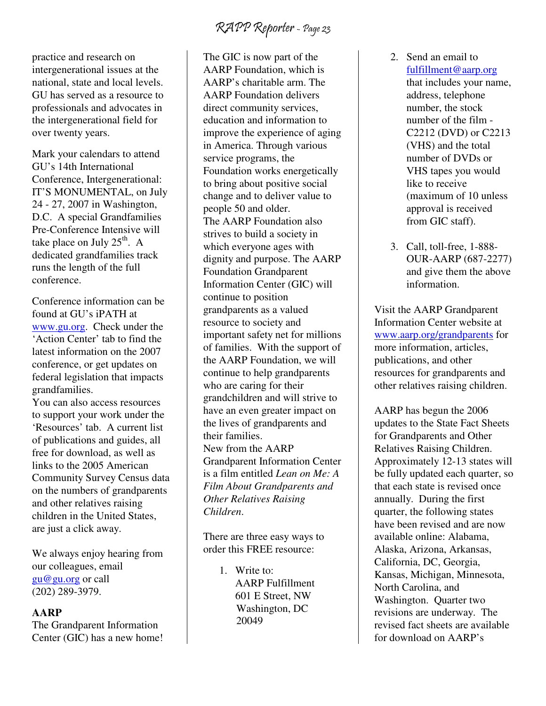practice and research on intergenerational issues at the national, state and local levels. GU has served as a resource to professionals and advocates in the intergenerational field for over twenty years.

Mark your calendars to attend GU's 14th International Conference, Intergenerational: IT'S MONUMENTAL, on July 24 - 27, 2007 in Washington, D.C. A special Grandfamilies Pre-Conference Intensive will take place on July  $25<sup>th</sup>$ . A dedicated grandfamilies track runs the length of the full conference.

Conference information can be found at GU's iPATH at www.gu.org. Check under the 'Action Center' tab to find the latest information on the 2007 conference, or get updates on federal legislation that impacts grandfamilies.

You can also access resources to support your work under the 'Resources' tab. A current list of publications and guides, all free for download, as well as links to the 2005 American Community Survey Census data on the numbers of grandparents and other relatives raising children in the United States, are just a click away.

We always enjoy hearing from our colleagues, email gu@gu.org or call (202) 289-3979.

#### **AARP**

The Grandparent Information Center (GIC) has a new home!

The GIC is now part of the AARP Foundation, which is AARP's charitable arm. The AARP Foundation delivers direct community services, education and information to improve the experience of aging in America. Through various service programs, the Foundation works energetically to bring about positive social change and to deliver value to people 50 and older. The AARP Foundation also strives to build a society in which everyone ages with dignity and purpose. The AARP Foundation Grandparent Information Center (GIC) will continue to position grandparents as a valued resource to society and important safety net for millions of families. With the support of the AARP Foundation, we will continue to help grandparents who are caring for their grandchildren and will strive to have an even greater impact on the lives of grandparents and their families. New from the AARP Grandparent Information Center is a film entitled *Lean on Me: A Film About Grandparents and Other Relatives Raising Children*.

There are three easy ways to order this FREE resource:

> 1. Write to: AARP Fulfillment 601 E Street, NW Washington, DC 20049

- 2. Send an email to fulfillment@aarp.org that includes your name, address, telephone number, the stock number of the film - C2212 (DVD) or C2213 (VHS) and the total number of DVDs or VHS tapes you would like to receive (maximum of 10 unless approval is received from GIC staff).
- 3. Call, toll-free, 1-888- OUR-AARP (687-2277) and give them the above information.

Visit the AARP Grandparent Information Center website at www.aarp.org/grandparents for more information, articles, publications, and other resources for grandparents and other relatives raising children.

AARP has begun the 2006 updates to the State Fact Sheets for Grandparents and Other Relatives Raising Children. Approximately 12-13 states will be fully updated each quarter, so that each state is revised once annually. During the first quarter, the following states have been revised and are now available online: Alabama, Alaska, Arizona, Arkansas, California, DC, Georgia, Kansas, Michigan, Minnesota, North Carolina, and Washington. Quarter two revisions are underway. The revised fact sheets are available for download on AARP's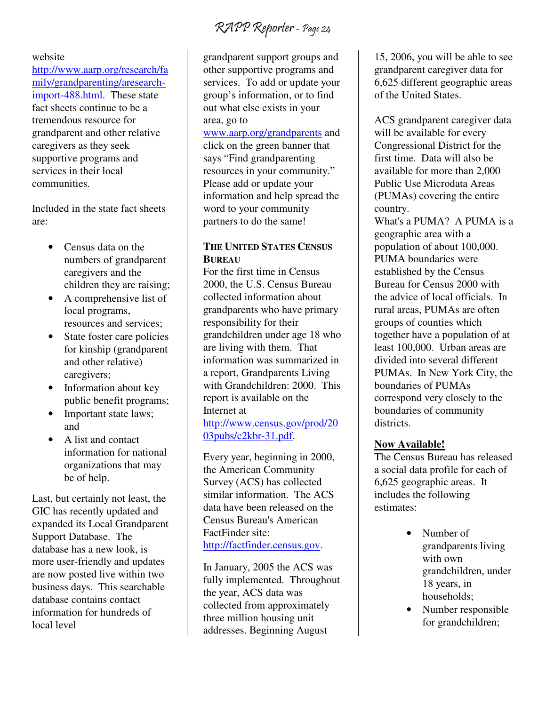#### website

http://www.aarp.org/research/fa mily/grandparenting/aresearchimport-488.html. These state fact sheets continue to be a tremendous resource for grandparent and other relative caregivers as they seek supportive programs and services in their local communities.

Included in the state fact sheets are:

- Census data on the numbers of grandparent caregivers and the children they are raising;
- A comprehensive list of local programs, resources and services;
- State foster care policies for kinship (grandparent and other relative) caregivers;
- Information about key public benefit programs;
- Important state laws; and
- A list and contact information for national organizations that may be of help.

Last, but certainly not least, the GIC has recently updated and expanded its Local Grandparent Support Database. The database has a new look, is more user-friendly and updates are now posted live within two business days. This searchable database contains contact information for hundreds of local level

grandparent support groups and other supportive programs and services. To add or update your group's information, or to find out what else exists in your area, go to

www.aarp.org/grandparents and click on the green banner that says "Find grandparenting resources in your community." Please add or update your information and help spread the word to your community partners to do the same!

#### **THE UNITED STATES CENSUS BUREAU**

For the first time in Census 2000, the U.S. Census Bureau collected information about grandparents who have primary responsibility for their grandchildren under age 18 who are living with them. That information was summarized in a report, Grandparents Living with Grandchildren: 2000. This report is available on the Internet at

http://www.census.gov/prod/20 03pubs/c2kbr-31.pdf.

Every year, beginning in 2000, the American Community Survey (ACS) has collected similar information. The ACS data have been released on the Census Bureau's American FactFinder site: http://factfinder.census.gov.

In January, 2005 the ACS was fully implemented. Throughout the year, ACS data was collected from approximately three million housing unit addresses. Beginning August

15, 2006, you will be able to see grandparent caregiver data for 6,625 different geographic areas of the United States.

ACS grandparent caregiver data will be available for every Congressional District for the first time. Data will also be available for more than 2,000 Public Use Microdata Areas (PUMAs) covering the entire country.

What's a PUMA? A PUMA is a geographic area with a population of about 100,000. PUMA boundaries were established by the Census Bureau for Census 2000 with the advice of local officials. In rural areas, PUMAs are often groups of counties which together have a population of at least 100,000. Urban areas are divided into several different PUMAs. In New York City, the boundaries of PUMAs correspond very closely to the boundaries of community districts.

#### **Now Available!**

The Census Bureau has released a social data profile for each of 6,625 geographic areas. It includes the following estimates:

- Number of grandparents living with own grandchildren, under 18 years, in households;
- Number responsible for grandchildren;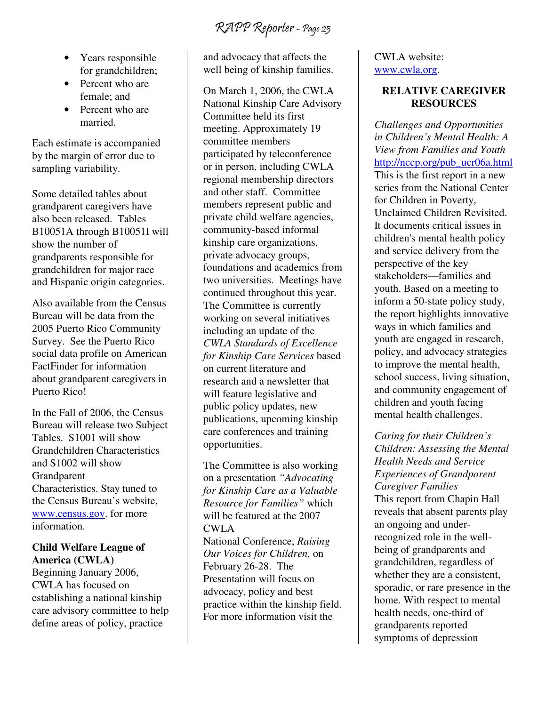- Years responsible for grandchildren;
- Percent who are female; and
- Percent who are married.

Each estimate is accompanied by the margin of error due to sampling variability.

Some detailed tables about grandparent caregivers have also been released. Tables B10051A through B10051I will show the number of grandparents responsible for grandchildren for major race and Hispanic origin categories.

Also available from the Census Bureau will be data from the 2005 Puerto Rico Community Survey. See the Puerto Rico social data profile on American FactFinder for information about grandparent caregivers in Puerto Rico!

In the Fall of 2006, the Census Bureau will release two Subject Tables. S1001 will show Grandchildren Characteristics and S1002 will show Grandparent Characteristics. Stay tuned to the Census Bureau's website, www.census.gov. for more information.

#### **Child Welfare League of America (CWLA)**

Beginning January 2006, CWLA has focused on establishing a national kinship care advisory committee to help define areas of policy, practice

and advocacy that affects the well being of kinship families.

On March 1, 2006, the CWLA National Kinship Care Advisory Committee held its first meeting. Approximately 19 committee members participated by teleconference or in person, including CWLA regional membership directors and other staff. Committee members represent public and private child welfare agencies, community-based informal kinship care organizations, private advocacy groups, foundations and academics from two universities. Meetings have continued throughout this year. The Committee is currently working on several initiatives including an update of the *CWLA Standards of Excellence for Kinship Care Services* based on current literature and research and a newsletter that will feature legislative and public policy updates, new publications, upcoming kinship care conferences and training opportunities.

The Committee is also working on a presentation *"Advocating for Kinship Care as a Valuable Resource for Families"* which will be featured at the 2007 CWLA

National Conference, *Raising Our Voices for Children,* on February 26-28. The Presentation will focus on advocacy, policy and best practice within the kinship field. For more information visit the

#### CWLA website: www.cwla.org.

#### **RELATIVE CAREGIVER RESOURCES**

*Challenges and Opportunities in Children's Mental Health: A View from Families and Youth*  http://nccp.org/pub\_ucr06a.html This is the first report in a new series from the National Center for Children in Poverty, Unclaimed Children Revisited. It documents critical issues in children's mental health policy and service delivery from the perspective of the key stakeholders—families and youth. Based on a meeting to inform a 50-state policy study, the report highlights innovative ways in which families and youth are engaged in research, policy, and advocacy strategies to improve the mental health, school success, living situation, and community engagement of children and youth facing mental health challenges.

*Caring for their Children's Children: Assessing the Mental Health Needs and Service Experiences of Grandparent Caregiver Families*  This report from Chapin Hall reveals that absent parents play an ongoing and underrecognized role in the wellbeing of grandparents and grandchildren, regardless of whether they are a consistent, sporadic, or rare presence in the home. With respect to mental health needs, one-third of grandparents reported symptoms of depression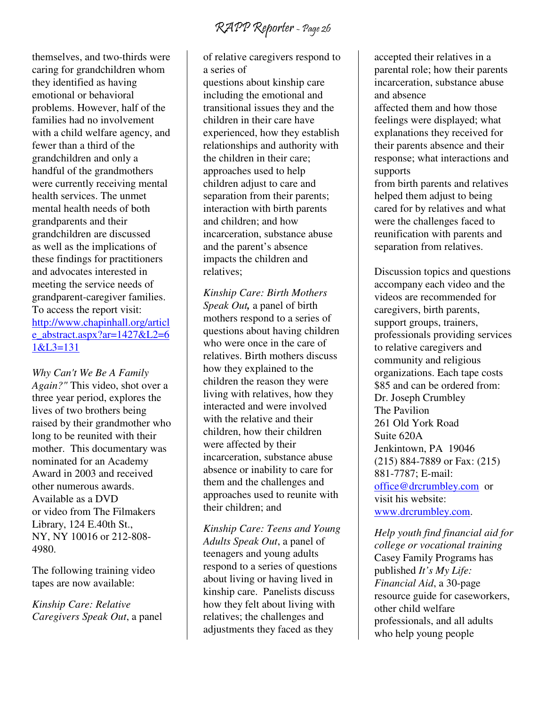RAPP Reporter - Page 26

themselves, and two-thirds were caring for grandchildren whom they identified as having emotional or behavioral problems. However, half of the families had no involvement with a child welfare agency, and fewer than a third of the grandchildren and only a handful of the grandmothers were currently receiving mental health services. The unmet mental health needs of both grandparents and their grandchildren are discussed as well as the implications of these findings for practitioners and advocates interested in meeting the service needs of grandparent-caregiver families. To access the report visit: http://www.chapinhall.org/articl e\_abstract.aspx?ar= $1427&L2=6$ 1&L3=131

*Why Can't We Be A Family Again?"* This video, shot over a three year period, explores the lives of two brothers being raised by their grandmother who long to be reunited with their mother. This documentary was nominated for an Academy Award in 2003 and received other numerous awards. Available as a DVD or video from The Filmakers Library, 124 E.40th St., NY, NY 10016 or 212-808- 4980.

The following training video tapes are now available:

*Kinship Care: Relative Caregivers Speak Out*, a panel of relative caregivers respond to a series of

questions about kinship care including the emotional and transitional issues they and the children in their care have experienced, how they establish relationships and authority with the children in their care; approaches used to help children adjust to care and separation from their parents; interaction with birth parents and children; and how incarceration, substance abuse and the parent's absence impacts the children and relatives;

*Kinship Care: Birth Mothers Speak Out,* a panel of birth mothers respond to a series of questions about having children who were once in the care of relatives. Birth mothers discuss how they explained to the children the reason they were living with relatives, how they interacted and were involved with the relative and their children, how their children were affected by their incarceration, substance abuse absence or inability to care for them and the challenges and approaches used to reunite with their children; and

*Kinship Care: Teens and Young Adults Speak Out*, a panel of teenagers and young adults respond to a series of questions about living or having lived in kinship care. Panelists discuss how they felt about living with relatives; the challenges and adjustments they faced as they

accepted their relatives in a parental role; how their parents incarceration, substance abuse and absence

affected them and how those feelings were displayed; what explanations they received for their parents absence and their response; what interactions and supports

from birth parents and relatives helped them adjust to being cared for by relatives and what were the challenges faced to reunification with parents and separation from relatives.

Discussion topics and questions accompany each video and the videos are recommended for caregivers, birth parents, support groups, trainers, professionals providing services to relative caregivers and community and religious organizations. Each tape costs \$85 and can be ordered from: Dr. Joseph Crumbley The Pavilion 261 Old York Road Suite 620A Jenkintown, PA 19046 (215) 884-7889 or Fax: (215) 881-7787; E-mail: office@drcrumbley.com or visit his website: www.drcrumbley.com.

*Help youth find financial aid for college or vocational training* Casey Family Programs has published *It's My Life: Financial Aid*, a 30-page resource guide for caseworkers, other child welfare professionals, and all adults who help young people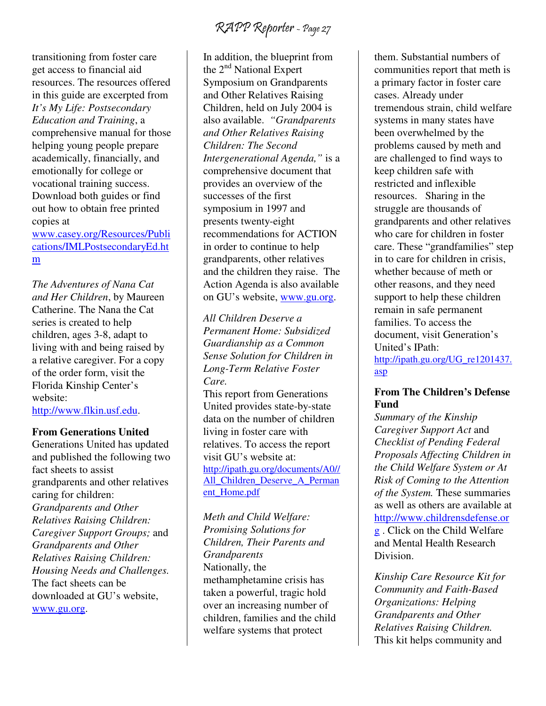transitioning from foster care get access to financial aid resources. The resources offered in this guide are excerpted from *It's My Life: Postsecondary Education and Training*, a comprehensive manual for those helping young people prepare academically, financially, and emotionally for college or vocational training success. Download both guides or find out how to obtain free printed copies at

www.casey.org/Resources/Publi cations/IMLPostsecondaryEd.ht m

*The Adventures of Nana Cat and Her Children*, by Maureen Catherine. The Nana the Cat series is created to help children, ages 3-8, adapt to living with and being raised by a relative caregiver. For a copy of the order form, visit the Florida Kinship Center's website: http://www.flkin.usf.edu.

#### **From Generations United**

Generations United has updated and published the following two fact sheets to assist grandparents and other relatives caring for children: *Grandparents and Other Relatives Raising Children: Caregiver Support Groups;* and *Grandparents and Other Relatives Raising Children: Housing Needs and Challenges.*  The fact sheets can be downloaded at GU's website, www.gu.org.

In addition, the blueprint from the  $2<sup>nd</sup>$  National Expert Symposium on Grandparents and Other Relatives Raising Children, held on July 2004 is also available. *"Grandparents and Other Relatives Raising Children: The Second Intergenerational Agenda,"* is a comprehensive document that provides an overview of the successes of the first symposium in 1997 and presents twenty-eight recommendations for ACTION in order to continue to help grandparents, other relatives and the children they raise. The Action Agenda is also available on GU's website, www.gu.org.

*All Children Deserve a Permanent Home: Subsidized Guardianship as a Common Sense Solution for Children in Long-Term Relative Foster Care.* 

This report from Generations United provides state-by-state data on the number of children living in foster care with relatives. To access the report visit GU's website at: http://ipath.gu.org/documents/A0// All Children Deserve A Perman ent\_Home.pdf

*Meth and Child Welfare: Promising Solutions for Children, Their Parents and Grandparents*  Nationally, the methamphetamine crisis has taken a powerful, tragic hold over an increasing number of children, families and the child welfare systems that protect

them. Substantial numbers of communities report that meth is a primary factor in foster care cases. Already under tremendous strain, child welfare systems in many states have been overwhelmed by the problems caused by meth and are challenged to find ways to keep children safe with restricted and inflexible resources. Sharing in the struggle are thousands of grandparents and other relatives who care for children in foster care. These "grandfamilies" step in to care for children in crisis, whether because of meth or other reasons, and they need support to help these children remain in safe permanent families. To access the document, visit Generation's United's IPath: http://ipath.gu.org/UG\_re1201437. asp

#### **From The Children's Defense Fund**

*Summary of the Kinship Caregiver Support Act* and *Checklist of Pending Federal Proposals Affecting Children in the Child Welfare System or At Risk of Coming to the Attention of the System.* These summaries as well as others are available at http://www.childrensdefense.or g . Click on the Child Welfare and Mental Health Research Division.

*Kinship Care Resource Kit for Community and Faith-Based Organizations: Helping Grandparents and Other Relatives Raising Children.*  This kit helps community and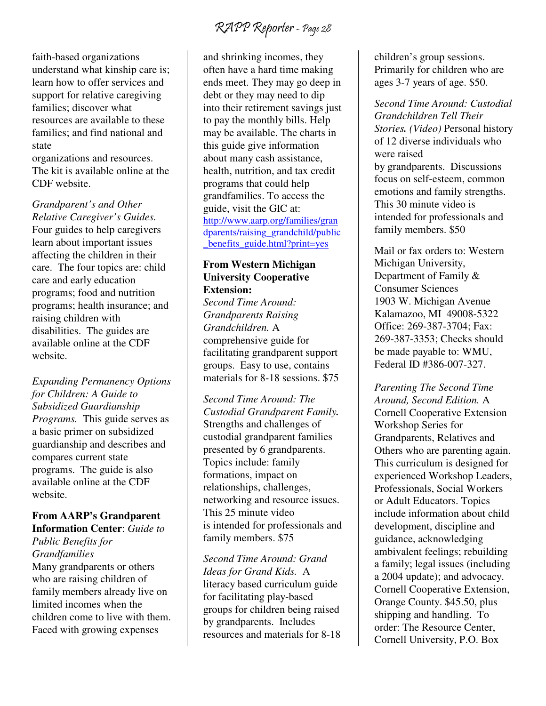faith-based organizations understand what kinship care is; learn how to offer services and support for relative caregiving families; discover what resources are available to these families; and find national and state

organizations and resources. The kit is available online at the CDF website.

*Grandparent's and Other Relative Caregiver's Guides.*  Four guides to help caregivers learn about important issues affecting the children in their care. The four topics are: child care and early education programs; food and nutrition programs; health insurance; and raising children with disabilities. The guides are available online at the CDF website.

#### *Expanding Permanency Options for Children: A Guide to Subsidized Guardianship Programs.* This guide serves as a basic primer on subsidized guardianship and describes and compares current state programs. The guide is also available online at the CDF website.

### **From AARP's Grandparent**

**Information Center**: *Guide to Public Benefits for Grandfamilies*  Many grandparents or others who are raising children of family members already live on limited incomes when the children come to live with them. Faced with growing expenses

and shrinking incomes, they often have a hard time making ends meet. They may go deep in debt or they may need to dip into their retirement savings just to pay the monthly bills. Help may be available. The charts in this guide give information about many cash assistance, health, nutrition, and tax credit programs that could help grandfamilies. To access the guide, visit the GIC at: http://www.aarp.org/families/gran dparents/raising\_grandchild/public benefits guide.html?print=yes

#### **From Western Michigan University Cooperative Extension:**

*Second Time Around: Grandparents Raising Grandchildren.* A comprehensive guide for facilitating grandparent support groups. Easy to use, contains materials for 8-18 sessions. \$75

*Second Time Around: The Custodial Grandparent Family.* Strengths and challenges of custodial grandparent families presented by 6 grandparents. Topics include: family formations, impact on relationships, challenges, networking and resource issues. This 25 minute video is intended for professionals and family members. \$75

*Second Time Around: Grand Ideas for Grand Kids.* A literacy based curriculum guide for facilitating play-based groups for children being raised by grandparents. Includes resources and materials for 8-18 children's group sessions. Primarily for children who are ages 3-7 years of age. \$50.

*Second Time Around: Custodial Grandchildren Tell Their Stories. (Video)* Personal history of 12 diverse individuals who were raised by grandparents. Discussions focus on self-esteem, common emotions and family strengths. This 30 minute video is intended for professionals and family members. \$50

Mail or fax orders to: Western Michigan University, Department of Family & Consumer Sciences 1903 W. Michigan Avenue Kalamazoo, MI 49008-5322 Office: 269-387-3704; Fax: 269-387-3353; Checks should be made payable to: WMU, Federal ID #386-007-327.

*Parenting The Second Time Around, Second Edition.* A Cornell Cooperative Extension Workshop Series for Grandparents, Relatives and Others who are parenting again. This curriculum is designed for experienced Workshop Leaders, Professionals, Social Workers or Adult Educators. Topics include information about child development, discipline and guidance, acknowledging ambivalent feelings; rebuilding a family; legal issues (including a 2004 update); and advocacy. Cornell Cooperative Extension, Orange County. \$45.50, plus shipping and handling. To order: The Resource Center, Cornell University, P.O. Box